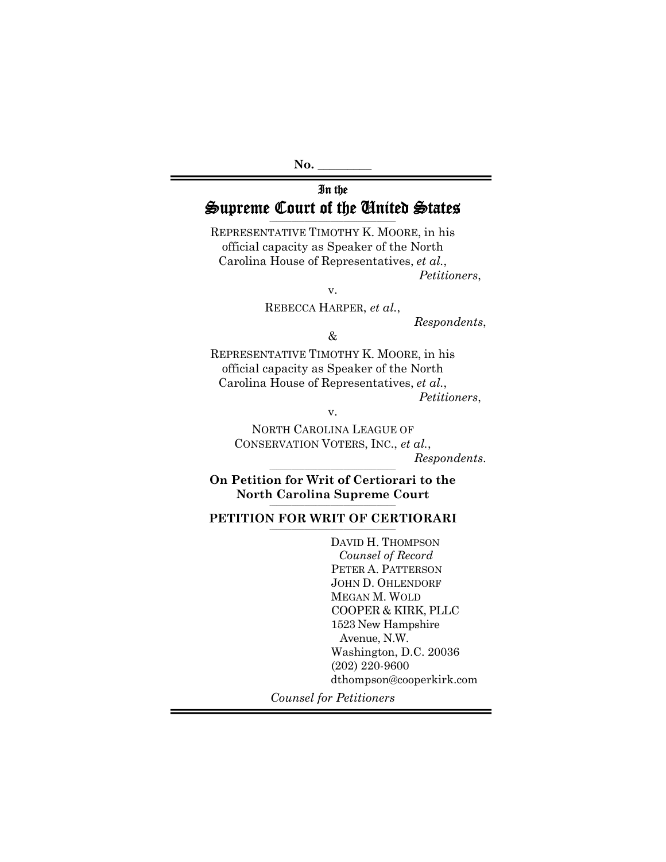#### In the Supreme Court of the United States **\_\_\_\_\_\_\_\_\_\_\_\_\_\_\_\_\_\_\_\_\_\_\_\_\_\_\_\_\_\_\_\_\_\_\_\_\_\_\_\_\_\_\_\_\_\_\_\_\_\_\_\_\_\_\_\_\_\_**

REPRESENTATIVE TIMOTHY K. MOORE, in his official capacity as Speaker of the North Carolina House of Representatives, *et al.*, *Petitioners*,

v.

REBECCA HARPER, *et al.*,

*Respondents*,

&

REPRESENTATIVE TIMOTHY K. MOORE, in his official capacity as Speaker of the North Carolina House of Representatives, *et al.*,

*Petitioners*,

v.

NORTH CAROLINA LEAGUE OF CONSERVATION VOTERS, INC., *et al.*, *Respondents*.

**\_\_\_\_\_\_\_\_\_\_\_\_\_\_\_\_\_\_\_\_\_\_\_\_\_\_\_\_\_\_\_\_\_\_\_\_\_\_\_\_\_\_\_\_\_\_\_\_\_\_\_\_\_\_\_\_\_\_ On Petition for Writ of Certiorari to the**  North Carolina Supreme Court

## PETITION FOR WRIT OF CERTIORARI

DAVID H. THOMPSON *Counsel of Record*  PETER A. PATTERSON JOHN D. OHLENDORF MEGAN M. WOLD COOPER & KIRK, PLLC 1523 New Hampshire Avenue, N.W. Washington, D.C. 20036 (202) 220-9600 dthompson@cooperkirk.com

*Counsel for Petitioners*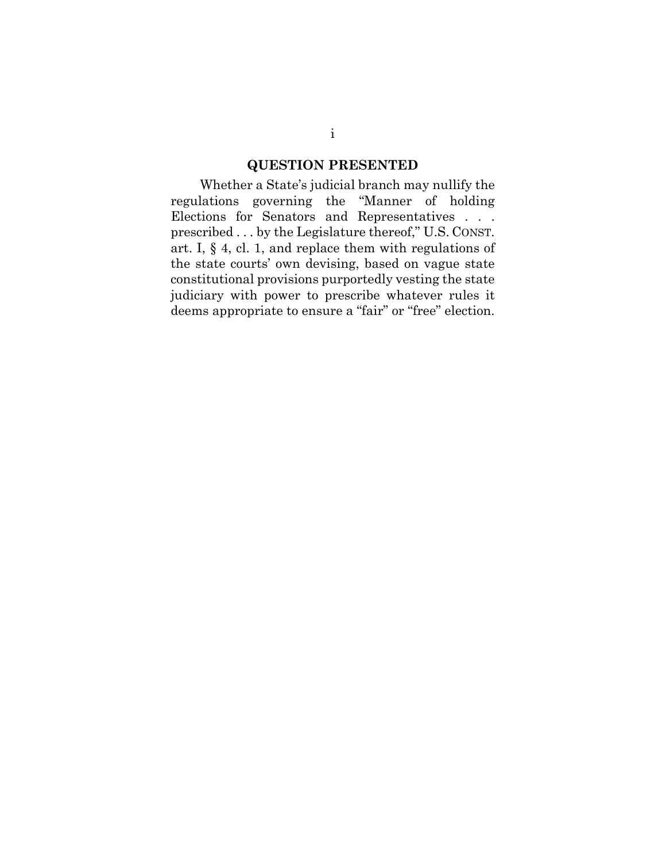## **QUESTION PRESENTED**

Whether a State's judicial branch may nullify the regulations governing the "Manner of holding Elections for Senators and Representatives . . . prescribed . . . by the Legislature thereof," U.S. CONST. art. I, § 4, cl. 1, and replace them with regulations of the state courts' own devising, based on vague state constitutional provisions purportedly vesting the state judiciary with power to prescribe whatever rules it deems appropriate to ensure a "fair" or "free" election.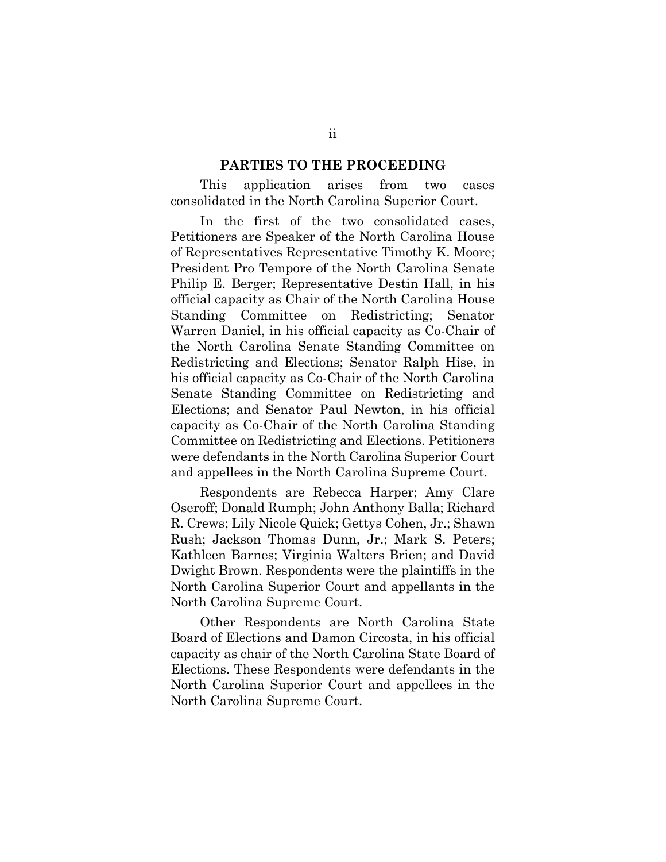#### **PARTIES TO THE PROCEEDING**

This application arises from two cases consolidated in the North Carolina Superior Court.

In the first of the two consolidated cases, Petitioners are Speaker of the North Carolina House of Representatives Representative Timothy K. Moore; President Pro Tempore of the North Carolina Senate Philip E. Berger; Representative Destin Hall, in his official capacity as Chair of the North Carolina House Standing Committee on Redistricting; Senator Warren Daniel, in his official capacity as Co-Chair of the North Carolina Senate Standing Committee on Redistricting and Elections; Senator Ralph Hise, in his official capacity as Co-Chair of the North Carolina Senate Standing Committee on Redistricting and Elections; and Senator Paul Newton, in his official capacity as Co-Chair of the North Carolina Standing Committee on Redistricting and Elections. Petitioners were defendants in the North Carolina Superior Court and appellees in the North Carolina Supreme Court.

Respondents are Rebecca Harper; Amy Clare Oseroff; Donald Rumph; John Anthony Balla; Richard R. Crews; Lily Nicole Quick; Gettys Cohen, Jr.; Shawn Rush; Jackson Thomas Dunn, Jr.; Mark S. Peters; Kathleen Barnes; Virginia Walters Brien; and David Dwight Brown. Respondents were the plaintiffs in the North Carolina Superior Court and appellants in the North Carolina Supreme Court.

Other Respondents are North Carolina State Board of Elections and Damon Circosta, in his official capacity as chair of the North Carolina State Board of Elections. These Respondents were defendants in the North Carolina Superior Court and appellees in the North Carolina Supreme Court.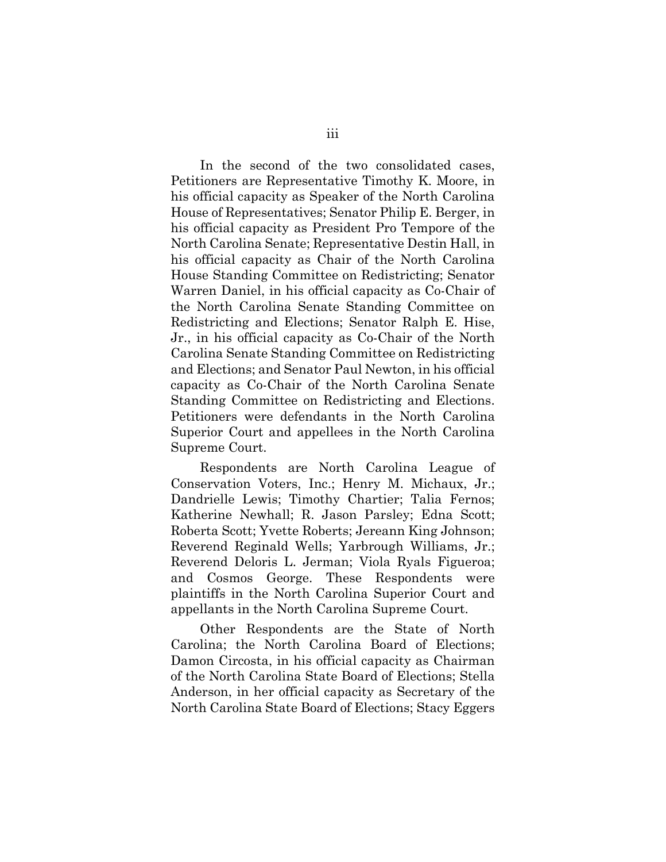In the second of the two consolidated cases, Petitioners are Representative Timothy K. Moore, in his official capacity as Speaker of the North Carolina House of Representatives; Senator Philip E. Berger, in his official capacity as President Pro Tempore of the North Carolina Senate; Representative Destin Hall, in his official capacity as Chair of the North Carolina House Standing Committee on Redistricting; Senator Warren Daniel, in his official capacity as Co-Chair of the North Carolina Senate Standing Committee on Redistricting and Elections; Senator Ralph E. Hise, Jr., in his official capacity as Co-Chair of the North Carolina Senate Standing Committee on Redistricting and Elections; and Senator Paul Newton, in his official capacity as Co-Chair of the North Carolina Senate Standing Committee on Redistricting and Elections. Petitioners were defendants in the North Carolina Superior Court and appellees in the North Carolina Supreme Court.

Respondents are North Carolina League of Conservation Voters, Inc.; Henry M. Michaux, Jr.; Dandrielle Lewis; Timothy Chartier; Talia Fernos; Katherine Newhall; R. Jason Parsley; Edna Scott; Roberta Scott; Yvette Roberts; Jereann King Johnson; Reverend Reginald Wells; Yarbrough Williams, Jr.; Reverend Deloris L. Jerman; Viola Ryals Figueroa; and Cosmos George. These Respondents were plaintiffs in the North Carolina Superior Court and appellants in the North Carolina Supreme Court.

Other Respondents are the State of North Carolina; the North Carolina Board of Elections; Damon Circosta, in his official capacity as Chairman of the North Carolina State Board of Elections; Stella Anderson, in her official capacity as Secretary of the North Carolina State Board of Elections; Stacy Eggers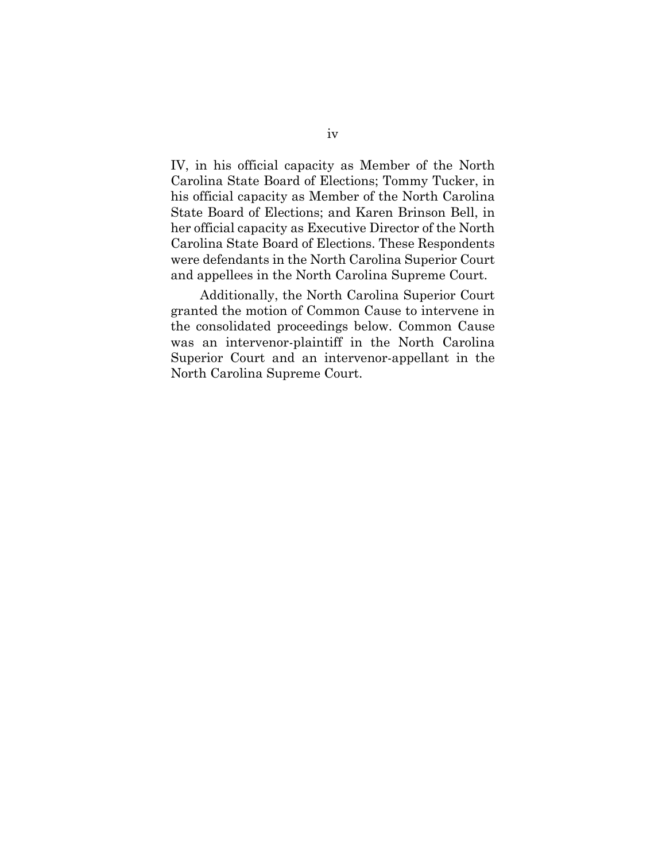IV, in his official capacity as Member of the North Carolina State Board of Elections; Tommy Tucker, in his official capacity as Member of the North Carolina State Board of Elections; and Karen Brinson Bell, in her official capacity as Executive Director of the North Carolina State Board of Elections. These Respondents were defendants in the North Carolina Superior Court and appellees in the North Carolina Supreme Court.

Additionally, the North Carolina Superior Court granted the motion of Common Cause to intervene in the consolidated proceedings below. Common Cause was an intervenor-plaintiff in the North Carolina Superior Court and an intervenor-appellant in the North Carolina Supreme Court.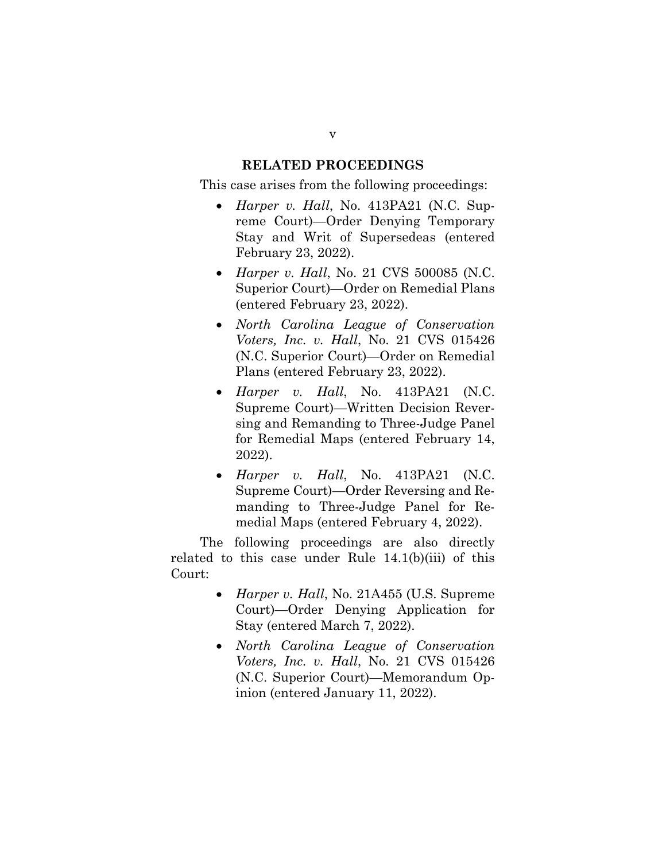## **RELATED PROCEEDINGS**

This case arises from the following proceedings:

- *Harper v. Hall*, No. 413PA21 (N.C. Supreme Court)—Order Denying Temporary Stay and Writ of Supersedeas (entered February 23, 2022).
- *Harper v. Hall*, No. 21 CVS 500085 (N.C. Superior Court)—Order on Remedial Plans (entered February 23, 2022).
- *North Carolina League of Conservation Voters, Inc. v. Hall*, No. 21 CVS 015426 (N.C. Superior Court)—Order on Remedial Plans (entered February 23, 2022).
- *Harper v. Hall*, No. 413PA21 (N.C. Supreme Court)—Written Decision Reversing and Remanding to Three-Judge Panel for Remedial Maps (entered February 14, 2022).
- *Harper v. Hall*, No. 413PA21 (N.C. Supreme Court)—Order Reversing and Remanding to Three-Judge Panel for Remedial Maps (entered February 4, 2022).

The following proceedings are also directly related to this case under Rule 14.1(b)(iii) of this Court:

- *Harper v. Hall*, No. 21A455 (U.S. Supreme Court)—Order Denying Application for Stay (entered March 7, 2022).
- *North Carolina League of Conservation Voters, Inc. v. Hall*, No. 21 CVS 015426 (N.C. Superior Court)—Memorandum Opinion (entered January 11, 2022).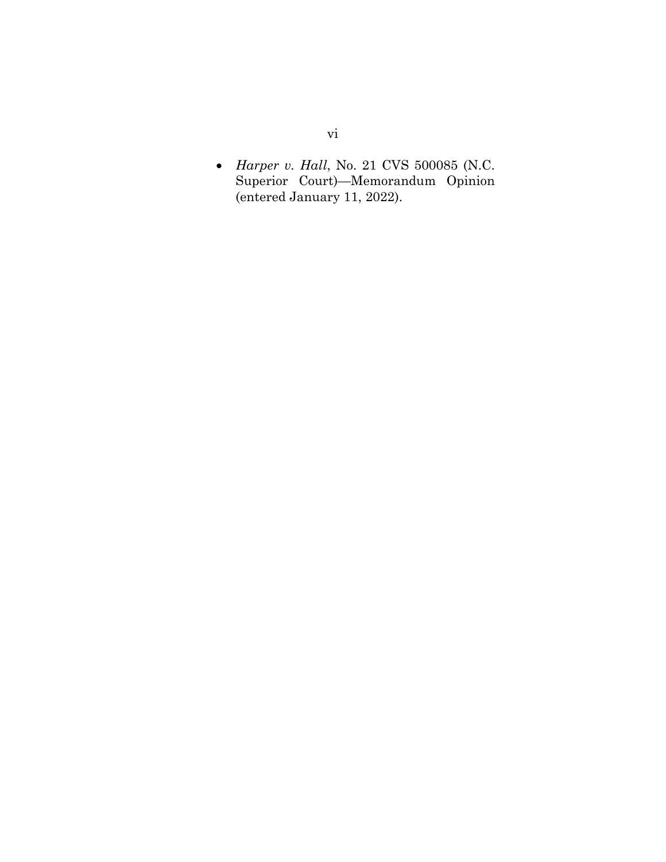*Harper v. Hall*, No. 21 CVS 500085 (N.C. Superior Court)—Memorandum Opinion (entered January 11, 2022).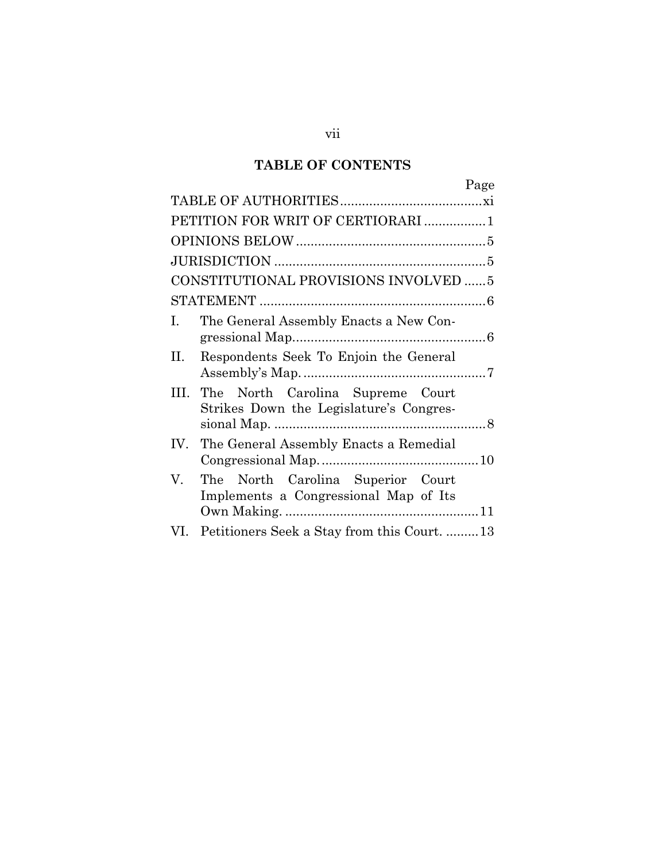## **TABLE OF CONTENTS**

|     | Page                                                                        |
|-----|-----------------------------------------------------------------------------|
|     |                                                                             |
|     | PETITION FOR WRIT OF CERTIORARI 1                                           |
|     |                                                                             |
|     |                                                                             |
|     | CONSTITUTIONAL PROVISIONS INVOLVED  5                                       |
|     |                                                                             |
| I.  | The General Assembly Enacts a New Con-                                      |
| П.  | Respondents Seek To Enjoin the General                                      |
| HI. | The North Carolina Supreme Court<br>Strikes Down the Legislature's Congres- |
|     | IV. The General Assembly Enacts a Remedial                                  |
| V.  | The North Carolina Superior Court<br>Implements a Congressional Map of Its  |
| VI. | Petitioners Seek a Stay from this Court13                                   |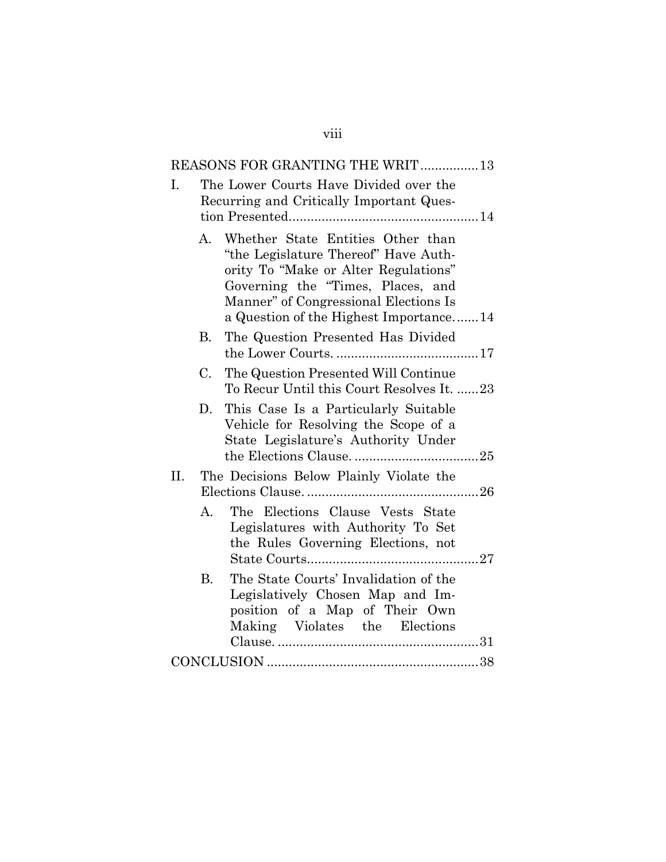|     |           | REASONS FOR GRANTING THE WRIT13                                                                                                                                                                                                           |
|-----|-----------|-------------------------------------------------------------------------------------------------------------------------------------------------------------------------------------------------------------------------------------------|
| I.  |           | The Lower Courts Have Divided over the<br>Recurring and Critically Important Ques-                                                                                                                                                        |
|     | A.        | Whether State Entities Other than<br>"the Legislature Thereof" Have Auth-<br>ority To "Make or Alter Regulations"<br>Governing the "Times, Places, and<br>Manner" of Congressional Elections Is<br>a Question of the Highest Importance14 |
|     | В.        | The Question Presented Has Divided                                                                                                                                                                                                        |
|     | C.        | The Question Presented Will Continue<br>To Recur Until this Court Resolves It. 23                                                                                                                                                         |
|     | D.        | This Case Is a Particularly Suitable<br>Vehicle for Resolving the Scope of a<br>State Legislature's Authority Under                                                                                                                       |
| II. |           | The Decisions Below Plainly Violate the                                                                                                                                                                                                   |
|     | А.        | The Elections Clause Vests State<br>Legislatures with Authority To Set<br>the Rules Governing Elections, not                                                                                                                              |
|     | <b>B.</b> | The State Courts' Invalidation of the<br>Legislatively Chosen Map and Im-<br>position of a Map of Their Own<br>Making Violates the Elections                                                                                              |
|     |           |                                                                                                                                                                                                                                           |

viii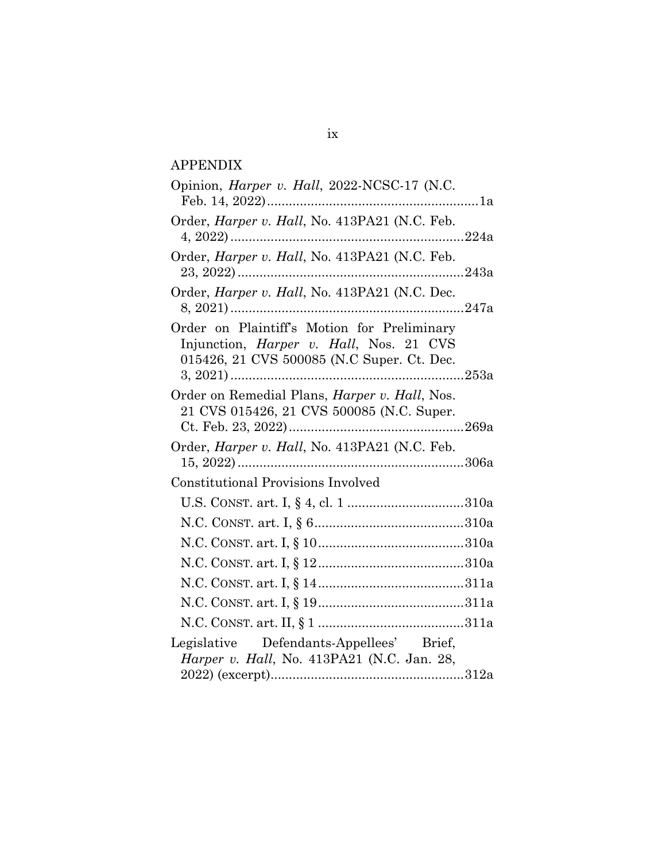## APPENDIX

| Opinion, <i>Harper v. Hall</i> , 2022-NCSC-17 (N.C.                                                                                          |
|----------------------------------------------------------------------------------------------------------------------------------------------|
| Order, Harper v. Hall, No. 413PA21 (N.C. Feb.                                                                                                |
| Order, Harper v. Hall, No. 413PA21 (N.C. Feb.                                                                                                |
| Order, <i>Harper v. Hall</i> , No. 413PA21 (N.C. Dec.                                                                                        |
| Order on Plaintiff's Motion for Preliminary<br>Injunction, <i>Harper v. Hall</i> , Nos. 21 CVS<br>015426, 21 CVS 500085 (N.C Super. Ct. Dec. |
| Order on Remedial Plans, Harper v. Hall, Nos.<br>21 CVS 015426, 21 CVS 500085 (N.C. Super.                                                   |
| Order, <i>Harper v. Hall</i> , No. 413PA21 (N.C. Feb.                                                                                        |
| Constitutional Provisions Involved                                                                                                           |
|                                                                                                                                              |
|                                                                                                                                              |
|                                                                                                                                              |
|                                                                                                                                              |
|                                                                                                                                              |
|                                                                                                                                              |
|                                                                                                                                              |
| Legislative Defendants-Appellees' Brief,<br><i>Harper v. Hall</i> , No. 413PA21 (N.C. Jan. 28,                                               |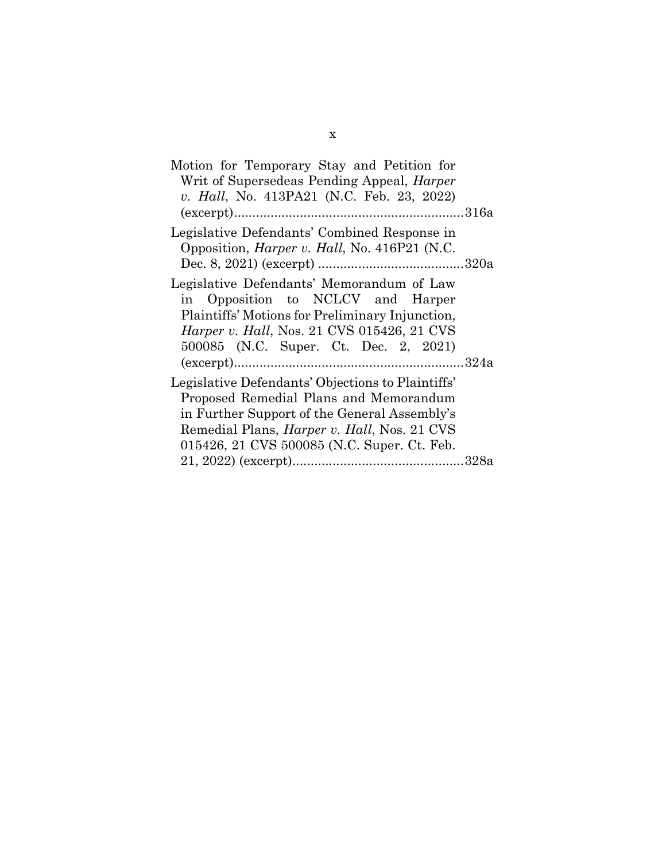| Motion for Temporary Stay and Petition for           |  |
|------------------------------------------------------|--|
| Writ of Supersedeas Pending Appeal, <i>Harper</i>    |  |
| v. Hall, No. 413PA21 (N.C. Feb. 23, 2022)            |  |
|                                                      |  |
| Legislative Defendants' Combined Response in         |  |
| Opposition, <i>Harper v. Hall</i> , No. 416P21 (N.C. |  |
|                                                      |  |
| Legislative Defendants' Memorandum of Law            |  |
| in Opposition to NCLCV and Harper                    |  |
| Plaintiffs' Motions for Preliminary Injunction,      |  |
| <i>Harper v. Hall, Nos. 21 CVS 015426, 21 CVS</i>    |  |
| 500085 (N.C. Super. Ct. Dec. 2, 2021)                |  |
|                                                      |  |
|                                                      |  |
| Legislative Defendants' Objections to Plaintiffs'    |  |
| Proposed Remedial Plans and Memorandum               |  |
| in Further Support of the General Assembly's         |  |
| Remedial Plans, <i>Harper v. Hall</i> , Nos. 21 CVS  |  |
| 015426, 21 CVS 500085 (N.C. Super. Ct. Feb.          |  |
|                                                      |  |
|                                                      |  |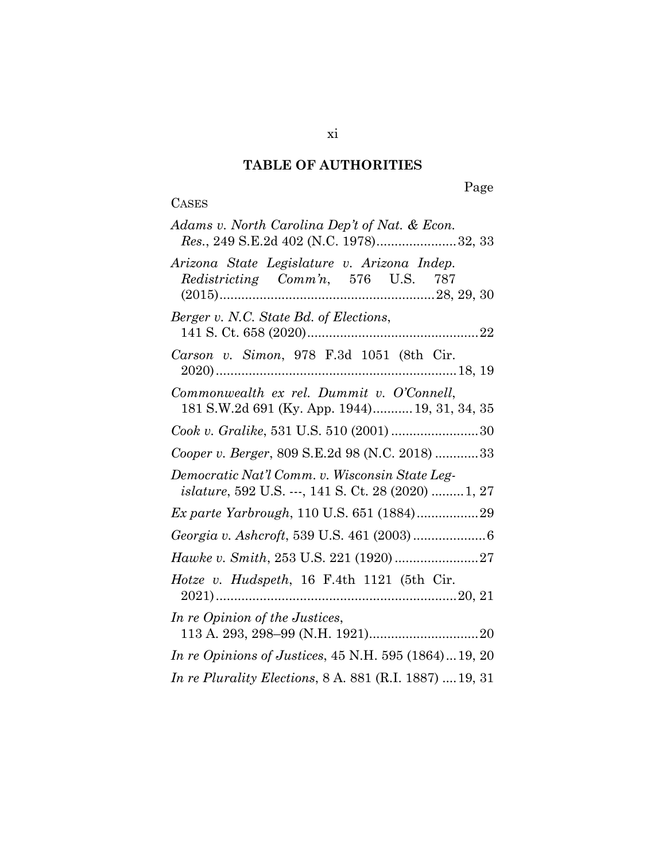## **TABLE OF AUTHORITIES**

## **CASES**

# Page

| Adams v. North Carolina Dep't of Nat. & Econ.<br>Res., 249 S.E.2d 402 (N.C. 1978)32, 33                       |
|---------------------------------------------------------------------------------------------------------------|
| Arizona State Legislature v. Arizona Indep.<br>Redistricting Comm'n, 576 U.S. 787                             |
| Berger v. N.C. State Bd. of Elections,                                                                        |
| Carson v. Simon, 978 F.3d 1051 (8th Cir.                                                                      |
| Commonwealth ex rel. Dummit v. O'Connell,<br>181 S.W.2d 691 (Ky. App. 1944) 19, 31, 34, 35                    |
| Cook v. Gralike, 531 U.S. 510 (2001) 30                                                                       |
| Cooper v. Berger, 809 S.E.2d 98 (N.C. 2018) 33                                                                |
| Democratic Nat'l Comm. v. Wisconsin State Leg-<br><i>islature</i> , 592 U.S. ---, 141 S. Ct. 28 (2020)  1, 27 |
|                                                                                                               |
|                                                                                                               |
|                                                                                                               |
| Hotze v. Hudspeth, 16 F.4th 1121 (5th Cir.                                                                    |
| In re Opinion of the Justices,                                                                                |
| <i>In re Opinions of Justices, 45 N.H. 595 (1864)19, 20</i>                                                   |
| In re Plurality Elections, 8 A. 881 (R.I. 1887)  19, 31                                                       |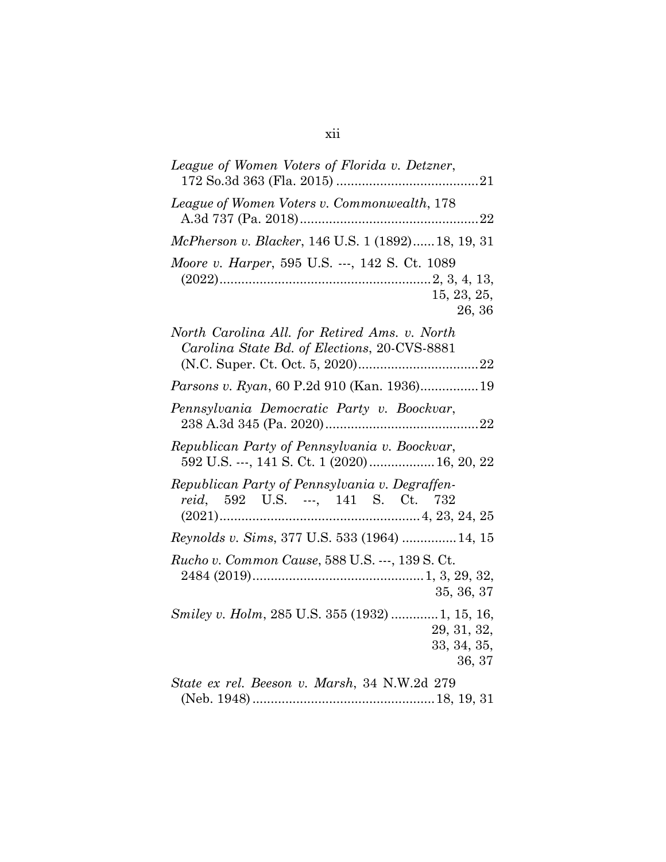| League of Women Voters of Florida v. Detzner,                                                  |
|------------------------------------------------------------------------------------------------|
| League of Women Voters v. Commonwealth, 178                                                    |
| McPherson v. Blacker, 146 U.S. 1 (1892) 18, 19, 31                                             |
| Moore v. Harper, 595 U.S. ---, 142 S. Ct. 1089<br>15, 23, 25,<br>26, 36                        |
| North Carolina All. for Retired Ams. v. North<br>Carolina State Bd. of Elections, 20-CVS-8881  |
|                                                                                                |
| Pennsylvania Democratic Party v. Boockvar,                                                     |
| Republican Party of Pennsylvania v. Boockvar,<br>592 U.S. ---, 141 S. Ct. 1 (2020)  16, 20, 22 |
| Republican Party of Pennsylvania v. Degraffen-<br>reid, 592 U.S. ---, 141 S. Ct. 732           |
| Reynolds v. Sims, 377 U.S. 533 (1964)  14, 15                                                  |
| Rucho v. Common Cause, 588 U.S. ---, 139 S. Ct.<br>35, 36, 37                                  |
| <i>Smiley v. Holm, 285 U.S. 355 (1932) 1, 15, 16,</i><br>29, 31, 32,<br>33, 34, 35,<br>36, 37  |
| State ex rel. Beeson v. Marsh, 34 N.W.2d 279                                                   |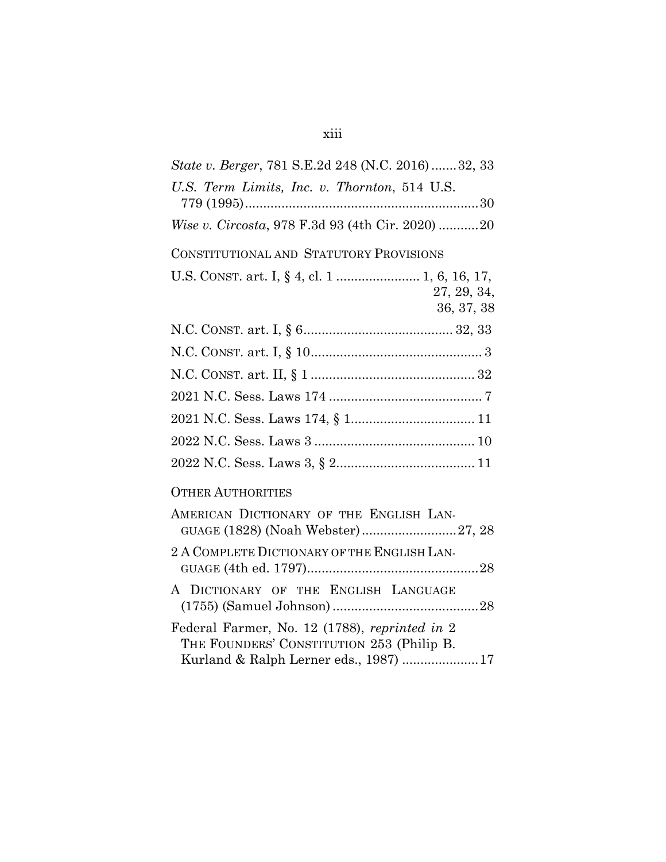## xiii

| State v. Berger, 781 S.E.2d 248 (N.C. 2016) 32, 33                                                                                   |
|--------------------------------------------------------------------------------------------------------------------------------------|
| U.S. Term Limits, Inc. v. Thornton, 514 U.S.                                                                                         |
| Wise v. Circosta, 978 F.3d 93 (4th Cir. 2020) 20                                                                                     |
| CONSTITUTIONAL AND STATUTORY PROVISIONS                                                                                              |
| U.S. CONST. art. I, § 4, cl. 1  1, 6, 16, 17,<br>27, 29, 34,<br>36, 37, 38                                                           |
|                                                                                                                                      |
|                                                                                                                                      |
|                                                                                                                                      |
|                                                                                                                                      |
|                                                                                                                                      |
|                                                                                                                                      |
|                                                                                                                                      |
| <b>OTHER AUTHORITIES</b>                                                                                                             |
| AMERICAN DICTIONARY OF THE ENGLISH LAN-<br>GUAGE (1828) (Noah Webster)27, 28                                                         |
| 2 A COMPLETE DICTIONARY OF THE ENGLISH LAN-                                                                                          |
| A DICTIONARY OF THE ENGLISH LANGUAGE                                                                                                 |
| Federal Farmer, No. 12 (1788), reprinted in 2<br>THE FOUNDERS' CONSTITUTION 253 (Philip B.<br>Kurland & Ralph Lerner eds., 1987)  17 |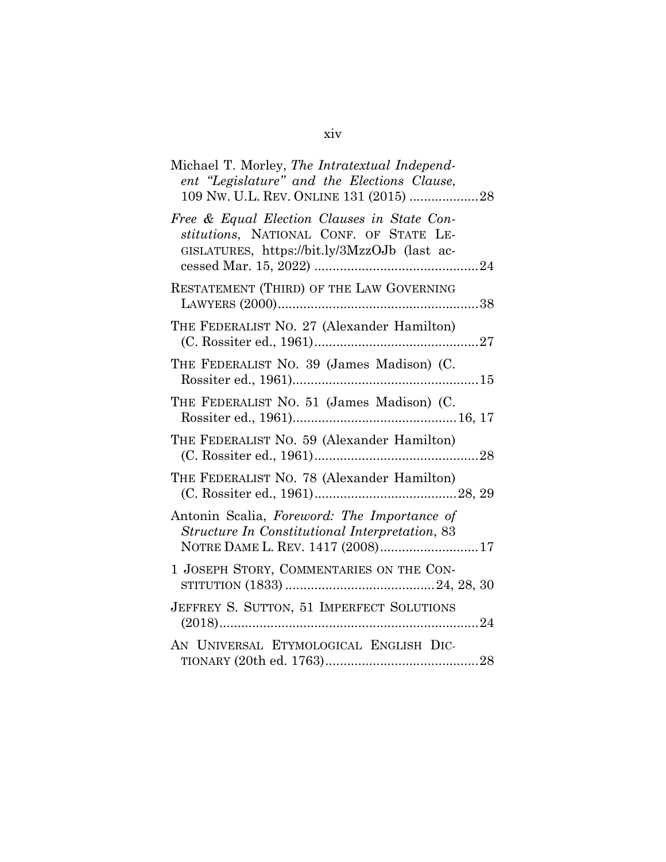| Michael T. Morley, The Intratextual Independ-<br>ent "Legislature" and the Elections Clause,<br>109 NW. U.L. REV. ONLINE 131 (2015) 28 |
|----------------------------------------------------------------------------------------------------------------------------------------|
| Free & Equal Election Clauses in State Con-<br>stitutions, NATIONAL CONF. OF STATE LE-<br>GISLATURES, https://bit.ly/3MzzOJb (last ac- |
| RESTATEMENT (THIRD) OF THE LAW GOVERNING                                                                                               |
| THE FEDERALIST NO. 27 (Alexander Hamilton)                                                                                             |
| THE FEDERALIST NO. 39 (James Madison) (C.                                                                                              |
| THE FEDERALIST NO. 51 (James Madison) (C.                                                                                              |
| THE FEDERALIST NO. 59 (Alexander Hamilton)                                                                                             |
| THE FEDERALIST NO. 78 (Alexander Hamilton)                                                                                             |
| Antonin Scalia, Foreword: The Importance of<br>Structure In Constitutional Interpretation, 83<br>NOTRE DAME L. REV. 1417 (2008)17      |
| 1 JOSEPH STORY, COMMENTARIES ON THE CON-                                                                                               |
| JEFFREY S. SUTTON, 51 IMPERFECT SOLUTIONS                                                                                              |
| AN UNIVERSAL ETYMOLOGICAL ENGLISH DIC-                                                                                                 |

## xiv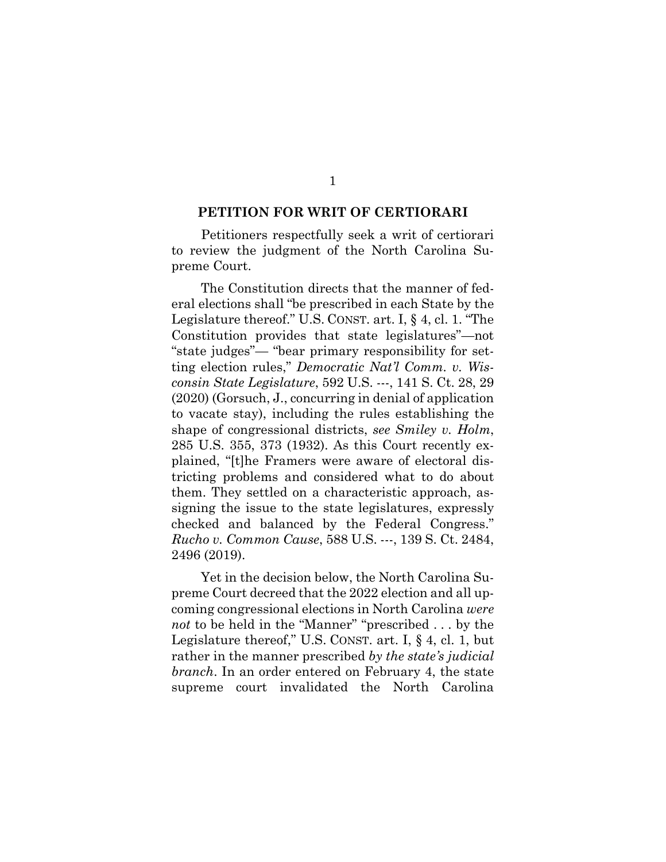#### **PETITION FOR WRIT OF CERTIORARI**

Petitioners respectfully seek a writ of certiorari to review the judgment of the North Carolina Supreme Court.

The Constitution directs that the manner of federal elections shall "be prescribed in each State by the Legislature thereof." U.S. CONST. art. I, § 4, cl. 1. "The Constitution provides that state legislatures"—not "state judges"— "bear primary responsibility for setting election rules," *Democratic Nat'l Comm. v. Wisconsin State Legislature*, 592 U.S. ---, 141 S. Ct. 28, 29 (2020) (Gorsuch, J., concurring in denial of application to vacate stay), including the rules establishing the shape of congressional districts, *see Smiley v. Holm*, 285 U.S. 355, 373 (1932). As this Court recently explained, "[t]he Framers were aware of electoral districting problems and considered what to do about them. They settled on a characteristic approach, assigning the issue to the state legislatures, expressly checked and balanced by the Federal Congress." *Rucho v. Common Cause*, 588 U.S. ---, 139 S. Ct. 2484, 2496 (2019).

Yet in the decision below, the North Carolina Supreme Court decreed that the 2022 election and all upcoming congressional elections in North Carolina *were not* to be held in the "Manner" "prescribed . . . by the Legislature thereof," U.S. CONST. art. I, § 4, cl. 1, but rather in the manner prescribed *by the state's judicial branch*. In an order entered on February 4, the state supreme court invalidated the North Carolina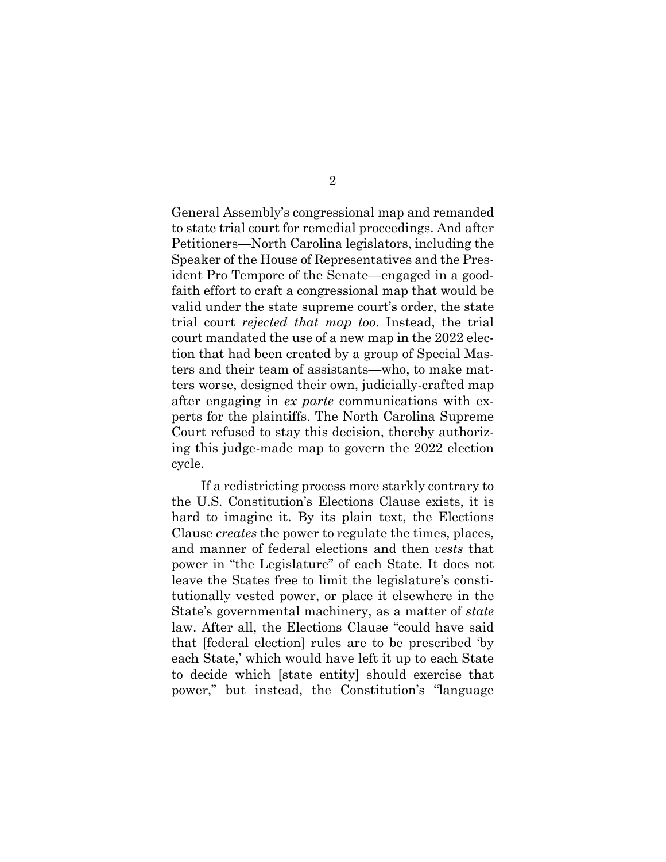General Assembly's congressional map and remanded to state trial court for remedial proceedings. And after Petitioners—North Carolina legislators, including the Speaker of the House of Representatives and the President Pro Tempore of the Senate—engaged in a goodfaith effort to craft a congressional map that would be valid under the state supreme court's order, the state trial court *rejected that map too*. Instead, the trial court mandated the use of a new map in the 2022 election that had been created by a group of Special Masters and their team of assistants—who, to make matters worse, designed their own, judicially-crafted map after engaging in *ex parte* communications with experts for the plaintiffs. The North Carolina Supreme Court refused to stay this decision, thereby authorizing this judge-made map to govern the 2022 election cycle.

If a redistricting process more starkly contrary to the U.S. Constitution's Elections Clause exists, it is hard to imagine it. By its plain text, the Elections Clause *creates* the power to regulate the times, places, and manner of federal elections and then *vests* that power in "the Legislature" of each State. It does not leave the States free to limit the legislature's constitutionally vested power, or place it elsewhere in the State's governmental machinery, as a matter of *state*  law. After all, the Elections Clause "could have said that [federal election] rules are to be prescribed 'by each State,' which would have left it up to each State to decide which [state entity] should exercise that power," but instead, the Constitution's "language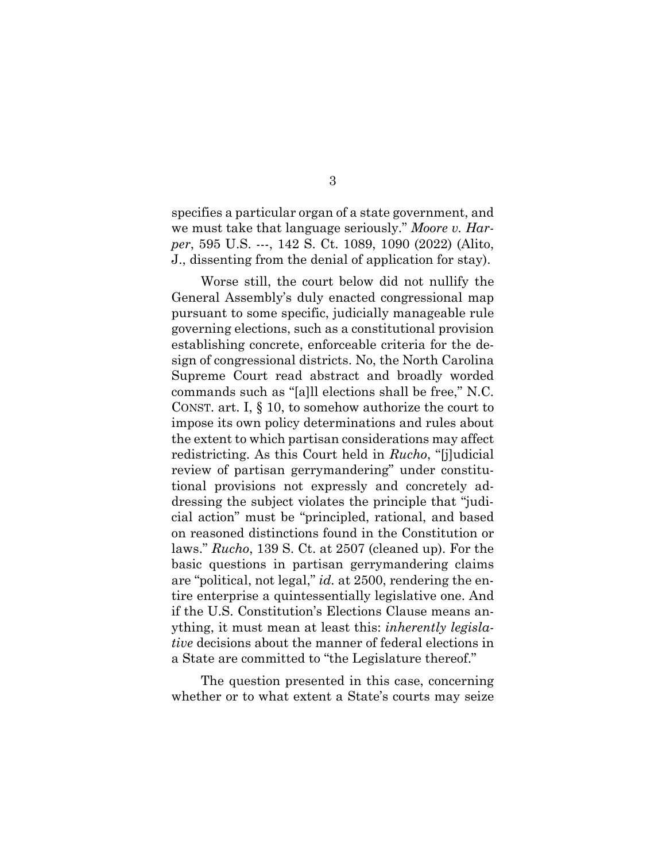specifies a particular organ of a state government, and we must take that language seriously." *Moore v. Harper*, 595 U.S. ---, 142 S. Ct. 1089, 1090 (2022) (Alito, J., dissenting from the denial of application for stay).

Worse still, the court below did not nullify the General Assembly's duly enacted congressional map pursuant to some specific, judicially manageable rule governing elections, such as a constitutional provision establishing concrete, enforceable criteria for the design of congressional districts. No, the North Carolina Supreme Court read abstract and broadly worded commands such as "[a]ll elections shall be free," N.C. CONST. art. I, § 10, to somehow authorize the court to impose its own policy determinations and rules about the extent to which partisan considerations may affect redistricting. As this Court held in *Rucho*, "[j]udicial review of partisan gerrymandering" under constitutional provisions not expressly and concretely addressing the subject violates the principle that "judicial action" must be "principled, rational, and based on reasoned distinctions found in the Constitution or laws." *Rucho*, 139 S. Ct. at 2507 (cleaned up). For the basic questions in partisan gerrymandering claims are "political, not legal," *id.* at 2500, rendering the entire enterprise a quintessentially legislative one. And if the U.S. Constitution's Elections Clause means anything, it must mean at least this: *inherently legislative* decisions about the manner of federal elections in a State are committed to "the Legislature thereof."

The question presented in this case, concerning whether or to what extent a State's courts may seize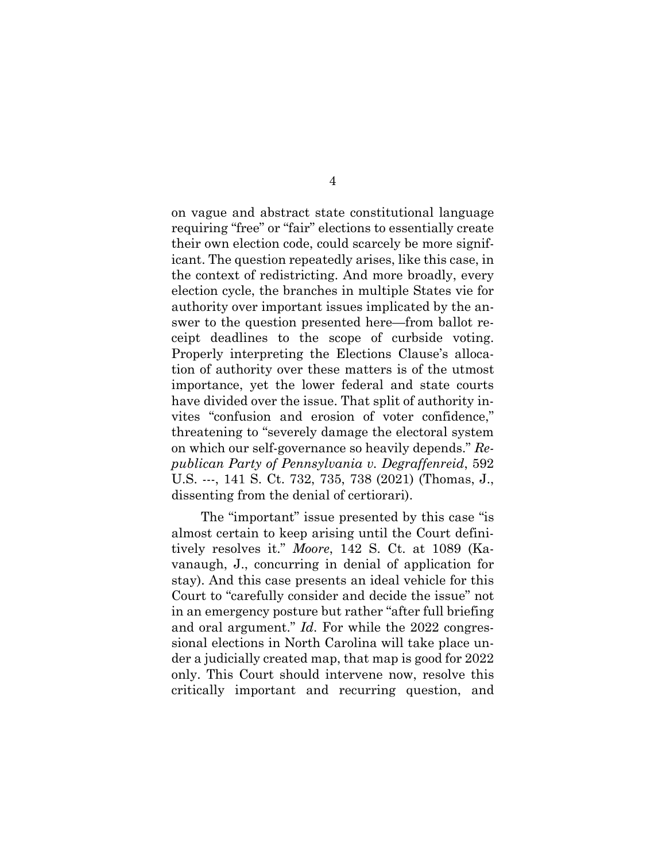on vague and abstract state constitutional language requiring "free" or "fair" elections to essentially create their own election code, could scarcely be more significant. The question repeatedly arises, like this case, in the context of redistricting. And more broadly, every election cycle, the branches in multiple States vie for authority over important issues implicated by the answer to the question presented here—from ballot receipt deadlines to the scope of curbside voting. Properly interpreting the Elections Clause's allocation of authority over these matters is of the utmost importance, yet the lower federal and state courts have divided over the issue. That split of authority invites "confusion and erosion of voter confidence," threatening to "severely damage the electoral system on which our self-governance so heavily depends." *Republican Party of Pennsylvania v. Degraffenreid*, 592 U.S. ---, 141 S. Ct. 732, 735, 738 (2021) (Thomas, J., dissenting from the denial of certiorari).

The "important" issue presented by this case "is almost certain to keep arising until the Court definitively resolves it." *Moore*, 142 S. Ct. at 1089 (Kavanaugh, J., concurring in denial of application for stay). And this case presents an ideal vehicle for this Court to "carefully consider and decide the issue" not in an emergency posture but rather "after full briefing and oral argument." *Id*. For while the 2022 congressional elections in North Carolina will take place under a judicially created map, that map is good for 2022 only. This Court should intervene now, resolve this critically important and recurring question, and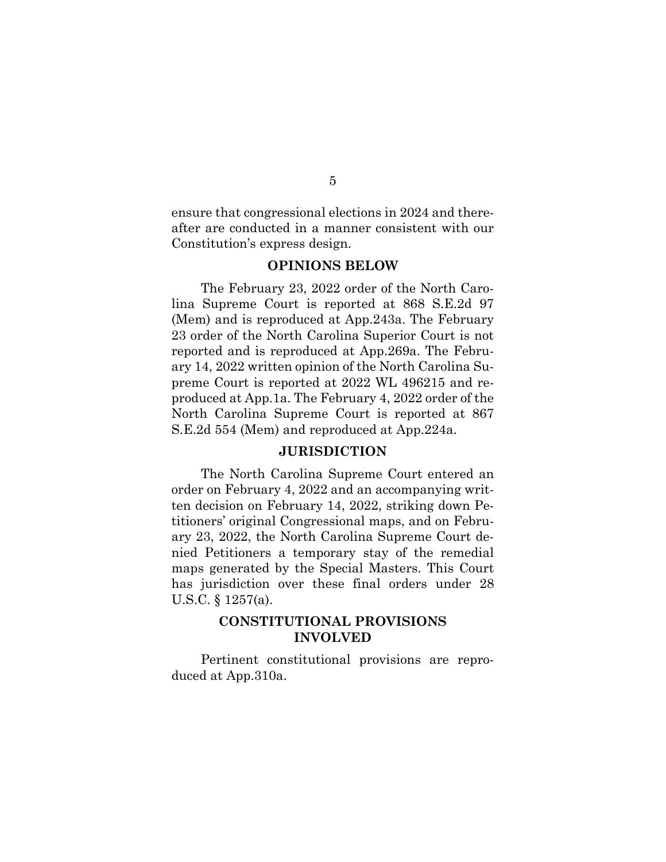ensure that congressional elections in 2024 and thereafter are conducted in a manner consistent with our Constitution's express design.

## **OPINIONS BELOW**

The February 23, 2022 order of the North Carolina Supreme Court is reported at 868 S.E.2d 97 (Mem) and is reproduced at App.243a. The February 23 order of the North Carolina Superior Court is not reported and is reproduced at App.269a. The February 14, 2022 written opinion of the North Carolina Supreme Court is reported at 2022 WL 496215 and reproduced at App.1a. The February 4, 2022 order of the North Carolina Supreme Court is reported at 867 S.E.2d 554 (Mem) and reproduced at App.224a.

## **JURISDICTION**

The North Carolina Supreme Court entered an order on February 4, 2022 and an accompanying written decision on February 14, 2022, striking down Petitioners' original Congressional maps, and on February 23, 2022, the North Carolina Supreme Court denied Petitioners a temporary stay of the remedial maps generated by the Special Masters. This Court has jurisdiction over these final orders under 28 U.S.C. § 1257(a).

## **CONSTITUTIONAL PROVISIONS INVOLVED**

Pertinent constitutional provisions are reproduced at App.310a.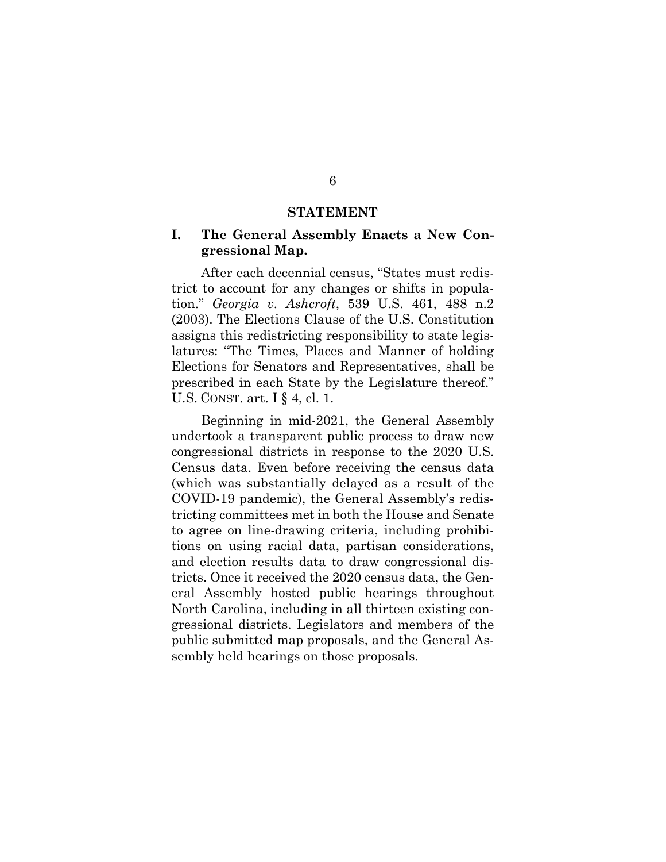#### **STATEMENT**

## **I. The General Assembly Enacts a New Congressional Map.**

After each decennial census, "States must redistrict to account for any changes or shifts in population." *Georgia v. Ashcroft*, 539 U.S. 461, 488 n.2 (2003). The Elections Clause of the U.S. Constitution assigns this redistricting responsibility to state legislatures: "The Times, Places and Manner of holding Elections for Senators and Representatives, shall be prescribed in each State by the Legislature thereof." U.S. CONST. art. I § 4, cl. 1.

Beginning in mid-2021, the General Assembly undertook a transparent public process to draw new congressional districts in response to the 2020 U.S. Census data. Even before receiving the census data (which was substantially delayed as a result of the COVID-19 pandemic), the General Assembly's redistricting committees met in both the House and Senate to agree on line-drawing criteria, including prohibitions on using racial data, partisan considerations, and election results data to draw congressional districts. Once it received the 2020 census data, the General Assembly hosted public hearings throughout North Carolina, including in all thirteen existing congressional districts. Legislators and members of the public submitted map proposals, and the General Assembly held hearings on those proposals.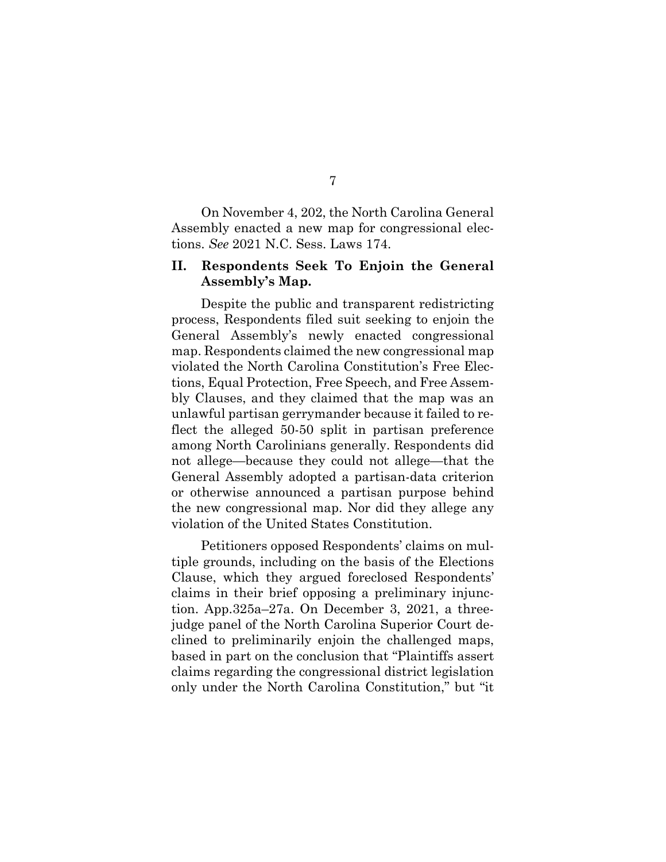On November 4, 202, the North Carolina General Assembly enacted a new map for congressional elections. *See* 2021 N.C. Sess. Laws 174.

## **II. Respondents Seek To Enjoin the General Assembly's Map.**

Despite the public and transparent redistricting process, Respondents filed suit seeking to enjoin the General Assembly's newly enacted congressional map. Respondents claimed the new congressional map violated the North Carolina Constitution's Free Elections, Equal Protection, Free Speech, and Free Assembly Clauses, and they claimed that the map was an unlawful partisan gerrymander because it failed to reflect the alleged 50-50 split in partisan preference among North Carolinians generally. Respondents did not allege—because they could not allege—that the General Assembly adopted a partisan-data criterion or otherwise announced a partisan purpose behind the new congressional map. Nor did they allege any violation of the United States Constitution.

Petitioners opposed Respondents' claims on multiple grounds, including on the basis of the Elections Clause, which they argued foreclosed Respondents' claims in their brief opposing a preliminary injunction. App.325a–27a. On December 3, 2021, a threejudge panel of the North Carolina Superior Court declined to preliminarily enjoin the challenged maps, based in part on the conclusion that "Plaintiffs assert claims regarding the congressional district legislation only under the North Carolina Constitution," but "it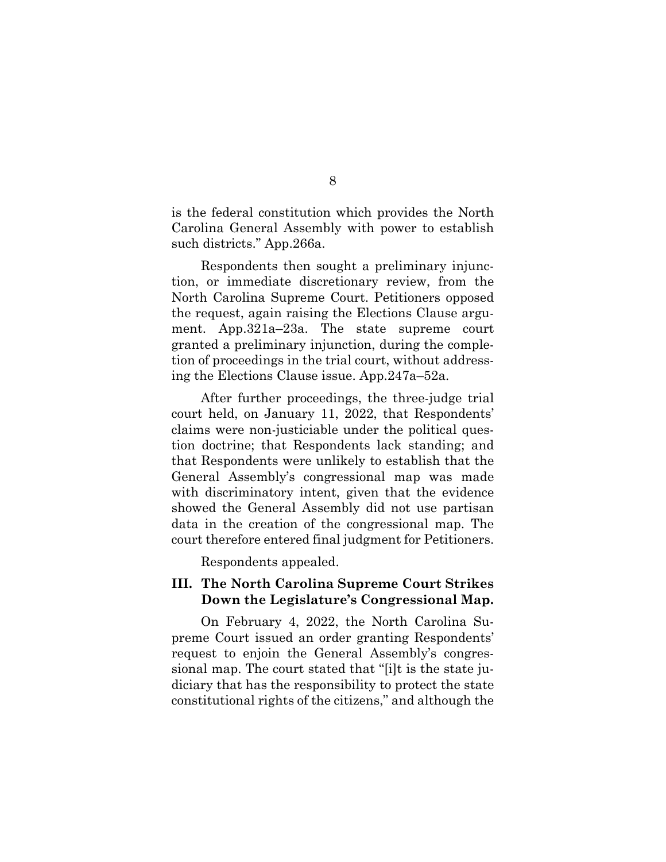is the federal constitution which provides the North Carolina General Assembly with power to establish such districts." App.266a.

Respondents then sought a preliminary injunction, or immediate discretionary review, from the North Carolina Supreme Court. Petitioners opposed the request, again raising the Elections Clause argument. App.321a–23a. The state supreme court granted a preliminary injunction, during the completion of proceedings in the trial court, without addressing the Elections Clause issue. App.247a–52a.

After further proceedings, the three-judge trial court held, on January 11, 2022, that Respondents' claims were non-justiciable under the political question doctrine; that Respondents lack standing; and that Respondents were unlikely to establish that the General Assembly's congressional map was made with discriminatory intent, given that the evidence showed the General Assembly did not use partisan data in the creation of the congressional map. The court therefore entered final judgment for Petitioners.

Respondents appealed.

## **III. The North Carolina Supreme Court Strikes Down the Legislature's Congressional Map.**

On February 4, 2022, the North Carolina Supreme Court issued an order granting Respondents' request to enjoin the General Assembly's congressional map. The court stated that "[i]t is the state judiciary that has the responsibility to protect the state constitutional rights of the citizens," and although the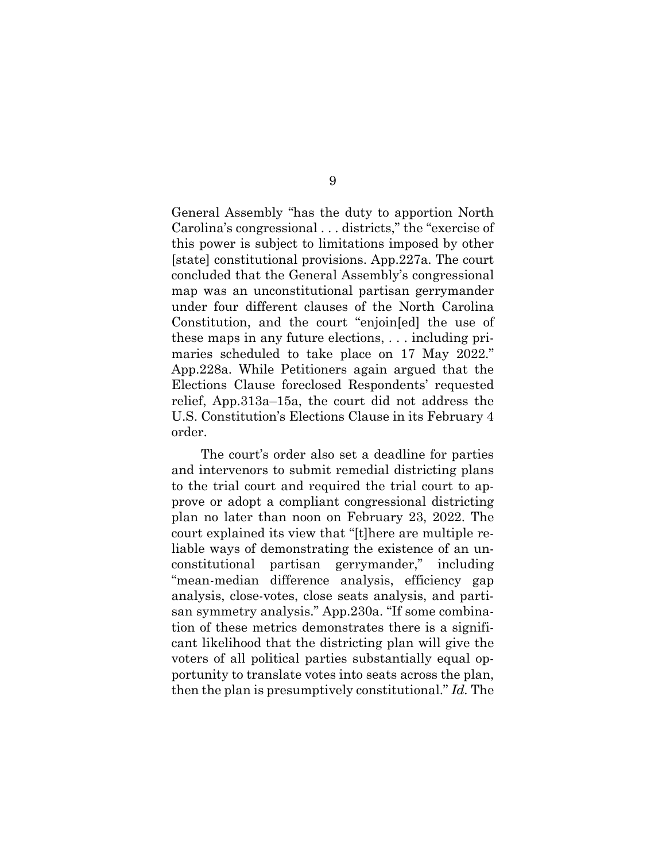General Assembly "has the duty to apportion North Carolina's congressional . . . districts," the "exercise of this power is subject to limitations imposed by other [state] constitutional provisions. App.227a. The court concluded that the General Assembly's congressional map was an unconstitutional partisan gerrymander under four different clauses of the North Carolina Constitution, and the court "enjoin[ed] the use of these maps in any future elections, . . . including primaries scheduled to take place on 17 May 2022." App.228a. While Petitioners again argued that the Elections Clause foreclosed Respondents' requested relief, App.313a–15a, the court did not address the U.S. Constitution's Elections Clause in its February 4 order.

The court's order also set a deadline for parties and intervenors to submit remedial districting plans to the trial court and required the trial court to approve or adopt a compliant congressional districting plan no later than noon on February 23, 2022. The court explained its view that "[t]here are multiple reliable ways of demonstrating the existence of an unconstitutional partisan gerrymander," including "mean-median difference analysis, efficiency gap analysis, close-votes, close seats analysis, and partisan symmetry analysis." App.230a. "If some combination of these metrics demonstrates there is a significant likelihood that the districting plan will give the voters of all political parties substantially equal opportunity to translate votes into seats across the plan, then the plan is presumptively constitutional." *Id.* The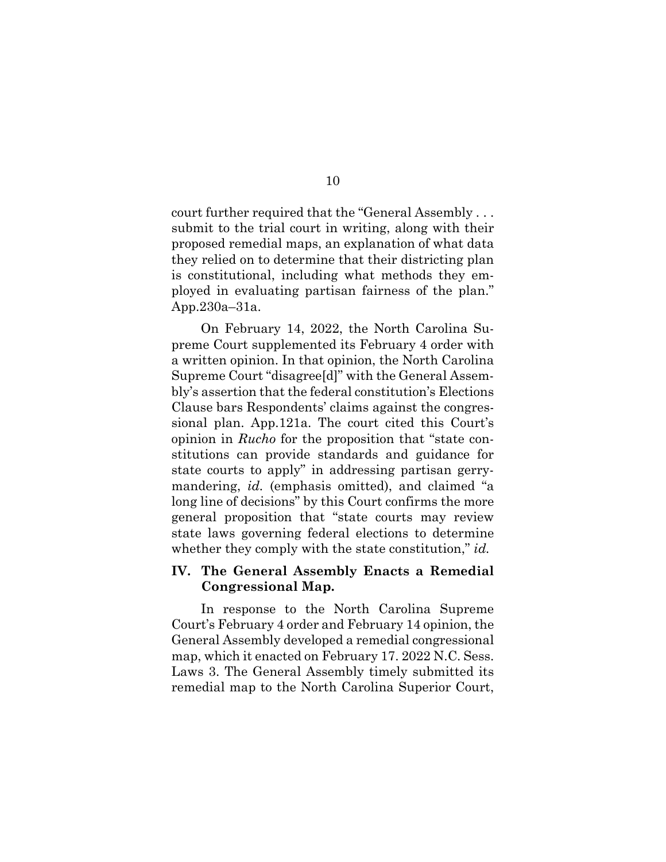court further required that the "General Assembly . . . submit to the trial court in writing, along with their proposed remedial maps, an explanation of what data they relied on to determine that their districting plan is constitutional, including what methods they employed in evaluating partisan fairness of the plan." App.230a–31a.

On February 14, 2022, the North Carolina Supreme Court supplemented its February 4 order with a written opinion. In that opinion, the North Carolina Supreme Court "disagree[d]" with the General Assembly's assertion that the federal constitution's Elections Clause bars Respondents' claims against the congressional plan. App.121a. The court cited this Court's opinion in *Rucho* for the proposition that "state constitutions can provide standards and guidance for state courts to apply" in addressing partisan gerrymandering, *id.* (emphasis omitted), and claimed "a long line of decisions" by this Court confirms the more general proposition that "state courts may review state laws governing federal elections to determine whether they comply with the state constitution," *id.* 

## **IV. The General Assembly Enacts a Remedial Congressional Map.**

In response to the North Carolina Supreme Court's February 4 order and February 14 opinion, the General Assembly developed a remedial congressional map, which it enacted on February 17. 2022 N.C. Sess. Laws 3. The General Assembly timely submitted its remedial map to the North Carolina Superior Court,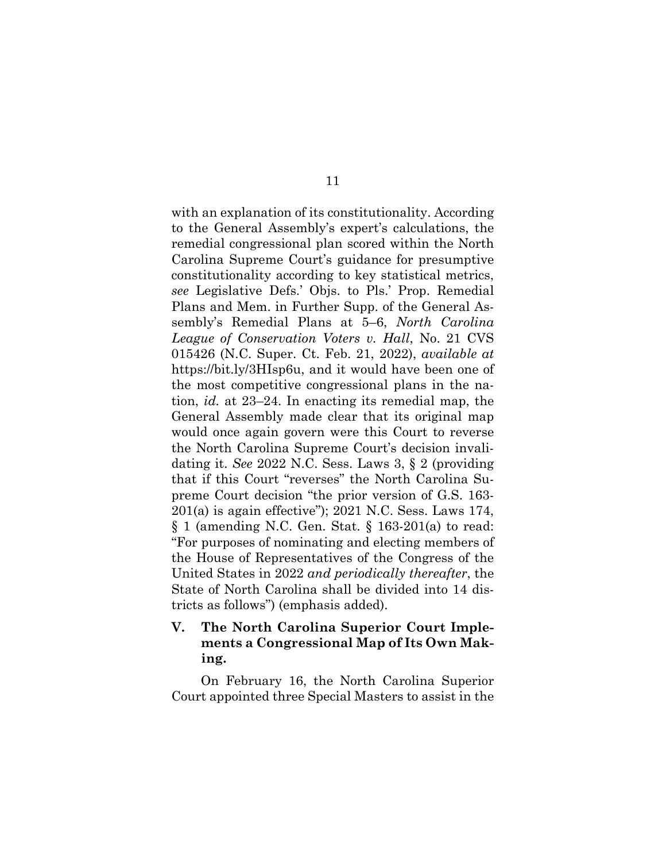with an explanation of its constitutionality. According to the General Assembly's expert's calculations, the remedial congressional plan scored within the North Carolina Supreme Court's guidance for presumptive constitutionality according to key statistical metrics, *see* Legislative Defs.' Objs. to Pls.' Prop. Remedial Plans and Mem. in Further Supp. of the General Assembly's Remedial Plans at 5–6, *North Carolina League of Conservation Voters v. Hall*, No. 21 CVS 015426 (N.C. Super. Ct. Feb. 21, 2022), *available at*  https://bit.ly/3HIsp6u, and it would have been one of the most competitive congressional plans in the nation, *id.* at 23–24. In enacting its remedial map, the General Assembly made clear that its original map would once again govern were this Court to reverse the North Carolina Supreme Court's decision invalidating it. *See* 2022 N.C. Sess. Laws 3, § 2 (providing that if this Court "reverses" the North Carolina Supreme Court decision "the prior version of G.S. 163- 201(a) is again effective"); 2021 N.C. Sess. Laws 174, § 1 (amending N.C. Gen. Stat. § 163-201(a) to read: "For purposes of nominating and electing members of the House of Representatives of the Congress of the United States in 2022 *and periodically thereafter*, the State of North Carolina shall be divided into 14 districts as follows") (emphasis added).

## **V. The North Carolina Superior Court Implements a Congressional Map of Its Own Making.**

On February 16, the North Carolina Superior Court appointed three Special Masters to assist in the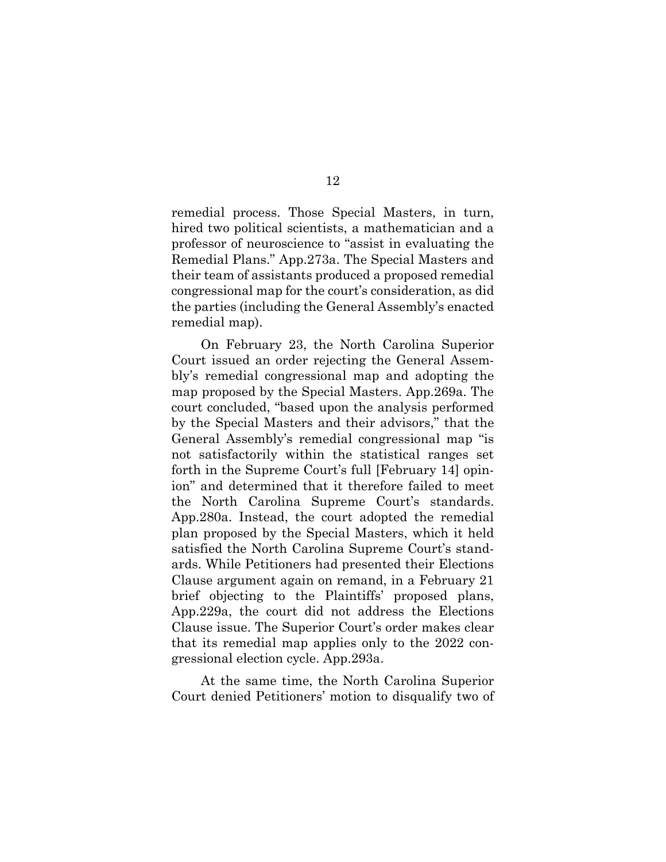remedial process. Those Special Masters, in turn, hired two political scientists, a mathematician and a professor of neuroscience to "assist in evaluating the Remedial Plans." App.273a. The Special Masters and their team of assistants produced a proposed remedial congressional map for the court's consideration, as did the parties (including the General Assembly's enacted remedial map).

On February 23, the North Carolina Superior Court issued an order rejecting the General Assembly's remedial congressional map and adopting the map proposed by the Special Masters. App.269a. The court concluded, "based upon the analysis performed by the Special Masters and their advisors," that the General Assembly's remedial congressional map "is not satisfactorily within the statistical ranges set forth in the Supreme Court's full [February 14] opinion" and determined that it therefore failed to meet the North Carolina Supreme Court's standards. App.280a. Instead, the court adopted the remedial plan proposed by the Special Masters, which it held satisfied the North Carolina Supreme Court's standards. While Petitioners had presented their Elections Clause argument again on remand, in a February 21 brief objecting to the Plaintiffs' proposed plans, App.229a, the court did not address the Elections Clause issue. The Superior Court's order makes clear that its remedial map applies only to the 2022 congressional election cycle. App.293a.

At the same time, the North Carolina Superior Court denied Petitioners' motion to disqualify two of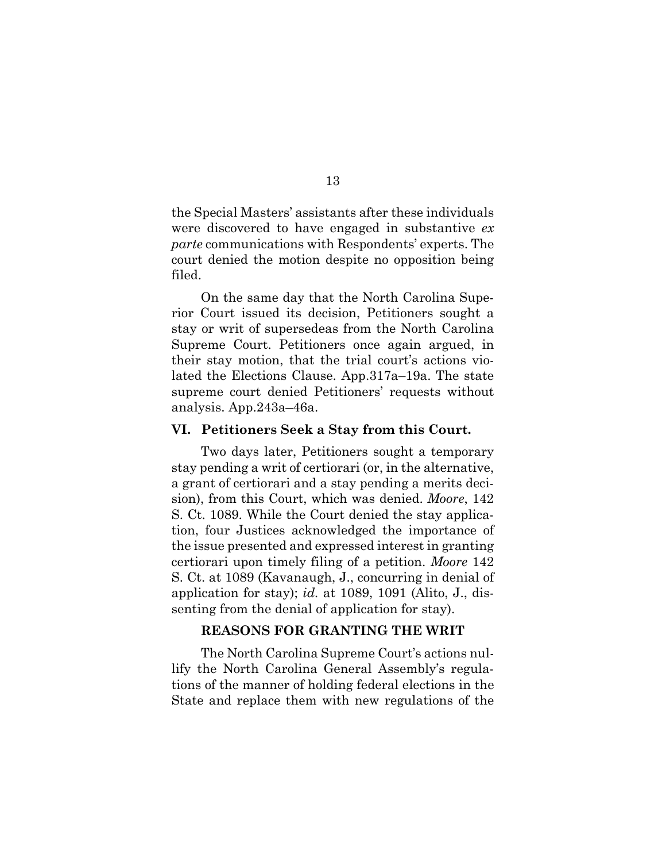the Special Masters' assistants after these individuals were discovered to have engaged in substantive *ex parte* communications with Respondents' experts. The court denied the motion despite no opposition being filed.

On the same day that the North Carolina Superior Court issued its decision, Petitioners sought a stay or writ of supersedeas from the North Carolina Supreme Court. Petitioners once again argued, in their stay motion, that the trial court's actions violated the Elections Clause. App.317a–19a. The state supreme court denied Petitioners' requests without analysis. App.243a–46a.

#### **VI. Petitioners Seek a Stay from this Court.**

Two days later, Petitioners sought a temporary stay pending a writ of certiorari (or, in the alternative, a grant of certiorari and a stay pending a merits decision), from this Court, which was denied. *Moore*, 142 S. Ct. 1089. While the Court denied the stay application, four Justices acknowledged the importance of the issue presented and expressed interest in granting certiorari upon timely filing of a petition. *Moore* 142 S. Ct. at 1089 (Kavanaugh, J., concurring in denial of application for stay); *id.* at 1089, 1091 (Alito, J., dissenting from the denial of application for stay).

## **REASONS FOR GRANTING THE WRIT**

The North Carolina Supreme Court's actions nullify the North Carolina General Assembly's regulations of the manner of holding federal elections in the State and replace them with new regulations of the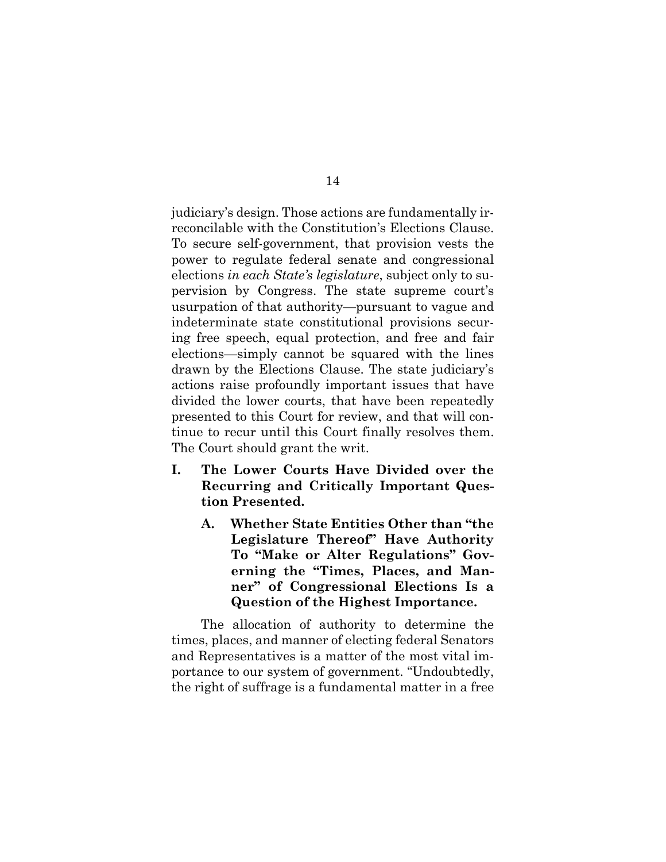judiciary's design. Those actions are fundamentally irreconcilable with the Constitution's Elections Clause. To secure self-government, that provision vests the power to regulate federal senate and congressional elections *in each State's legislature*, subject only to supervision by Congress. The state supreme court's usurpation of that authority—pursuant to vague and indeterminate state constitutional provisions securing free speech, equal protection, and free and fair elections—simply cannot be squared with the lines drawn by the Elections Clause. The state judiciary's actions raise profoundly important issues that have divided the lower courts, that have been repeatedly presented to this Court for review, and that will continue to recur until this Court finally resolves them. The Court should grant the writ.

- **I. The Lower Courts Have Divided over the Recurring and Critically Important Question Presented.** 
	- **A. Whether State Entities Other than "the Legislature Thereof" Have Authority To "Make or Alter Regulations" Governing the "Times, Places, and Manner" of Congressional Elections Is a Question of the Highest Importance.**

The allocation of authority to determine the times, places, and manner of electing federal Senators and Representatives is a matter of the most vital importance to our system of government. "Undoubtedly, the right of suffrage is a fundamental matter in a free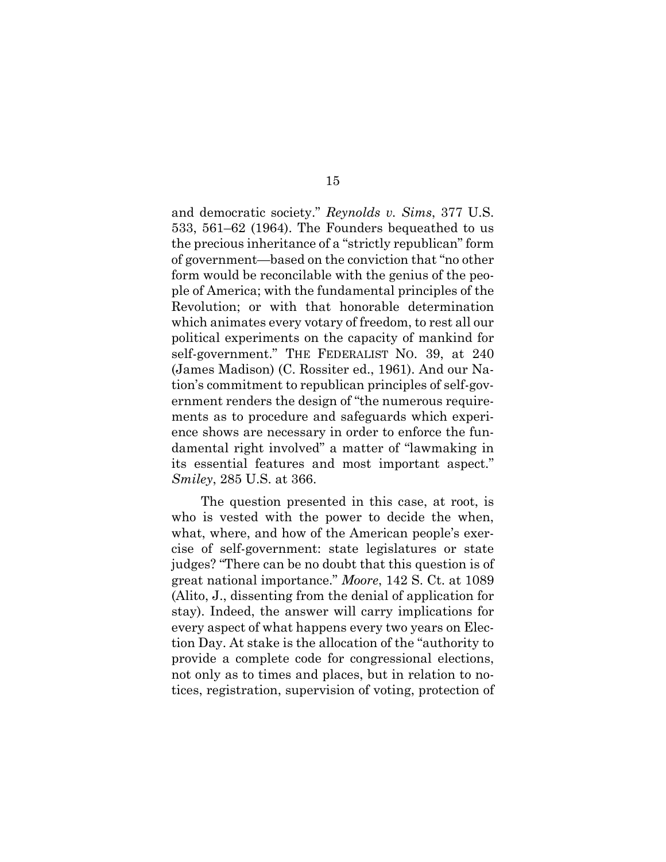and democratic society." *Reynolds v. Sims*, 377 U.S. 533, 561–62 (1964). The Founders bequeathed to us the precious inheritance of a "strictly republican" form of government—based on the conviction that "no other form would be reconcilable with the genius of the people of America; with the fundamental principles of the Revolution; or with that honorable determination which animates every votary of freedom, to rest all our political experiments on the capacity of mankind for self-government." THE FEDERALIST NO. 39, at 240 (James Madison) (C. Rossiter ed., 1961). And our Nation's commitment to republican principles of self-government renders the design of "the numerous requirements as to procedure and safeguards which experience shows are necessary in order to enforce the fundamental right involved" a matter of "lawmaking in its essential features and most important aspect." *Smiley*, 285 U.S. at 366.

The question presented in this case, at root, is who is vested with the power to decide the when, what, where, and how of the American people's exercise of self-government: state legislatures or state judges? "There can be no doubt that this question is of great national importance." *Moore*, 142 S. Ct. at 1089 (Alito, J., dissenting from the denial of application for stay). Indeed, the answer will carry implications for every aspect of what happens every two years on Election Day. At stake is the allocation of the "authority to provide a complete code for congressional elections, not only as to times and places, but in relation to notices, registration, supervision of voting, protection of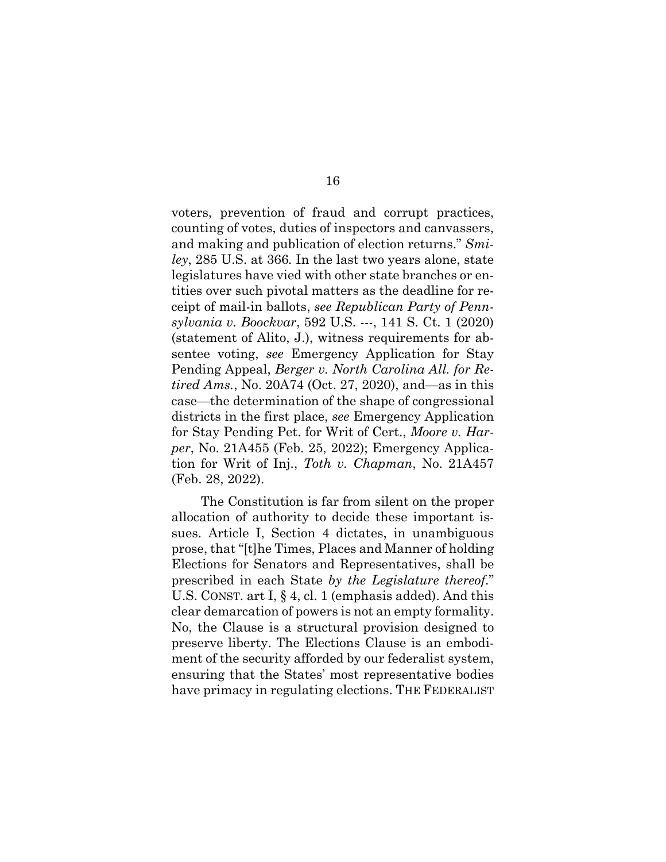voters, prevention of fraud and corrupt practices, counting of votes, duties of inspectors and canvassers, and making and publication of election returns." *Smiley*, 285 U.S. at 366*.* In the last two years alone, state legislatures have vied with other state branches or entities over such pivotal matters as the deadline for receipt of mail-in ballots, *see Republican Party of Pennsylvania v. Boockvar*, 592 U.S. ---, 141 S. Ct. 1 (2020) (statement of Alito, J.), witness requirements for absentee voting, *see* Emergency Application for Stay Pending Appeal, *Berger v. North Carolina All. for Retired Ams.*, No. 20A74 (Oct. 27, 2020), and—as in this case—the determination of the shape of congressional districts in the first place, *see* Emergency Application for Stay Pending Pet. for Writ of Cert., *Moore v. Harper*, No. 21A455 (Feb. 25, 2022); Emergency Application for Writ of Inj., *Toth v. Chapman*, No. 21A457 (Feb. 28, 2022).

The Constitution is far from silent on the proper allocation of authority to decide these important issues. Article I, Section 4 dictates, in unambiguous prose, that "[t]he Times, Places and Manner of holding Elections for Senators and Representatives, shall be prescribed in each State *by the Legislature thereof*." U.S. CONST. art I, § 4, cl. 1 (emphasis added). And this clear demarcation of powers is not an empty formality. No, the Clause is a structural provision designed to preserve liberty. The Elections Clause is an embodiment of the security afforded by our federalist system, ensuring that the States' most representative bodies have primacy in regulating elections. THE FEDERALIST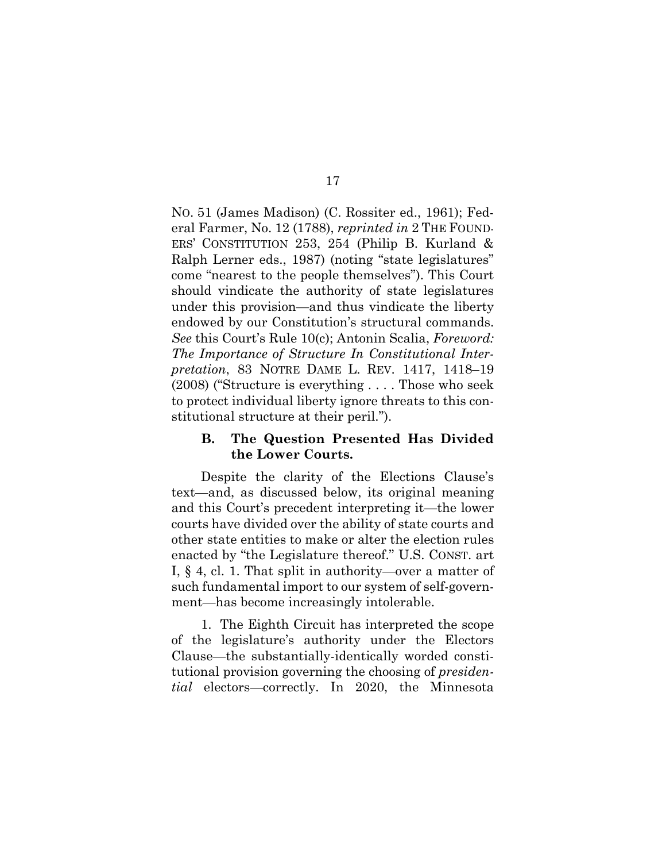NO. 51 (James Madison) (C. Rossiter ed., 1961); Federal Farmer, No. 12 (1788), *reprinted in* 2 THE FOUND-ERS' CONSTITUTION 253, 254 (Philip B. Kurland & Ralph Lerner eds., 1987) (noting "state legislatures" come "nearest to the people themselves"). This Court should vindicate the authority of state legislatures under this provision—and thus vindicate the liberty endowed by our Constitution's structural commands. *See* this Court's Rule 10(c); Antonin Scalia, *Foreword: The Importance of Structure In Constitutional Interpretation*, 83 NOTRE DAME L. REV. 1417, 1418–19 (2008) ("Structure is everything . . . . Those who seek to protect individual liberty ignore threats to this constitutional structure at their peril.").

## **B. The Question Presented Has Divided the Lower Courts.**

Despite the clarity of the Elections Clause's text—and, as discussed below, its original meaning and this Court's precedent interpreting it—the lower courts have divided over the ability of state courts and other state entities to make or alter the election rules enacted by "the Legislature thereof." U.S. CONST. art I, § 4, cl. 1. That split in authority—over a matter of such fundamental import to our system of self-government—has become increasingly intolerable.

1. The Eighth Circuit has interpreted the scope of the legislature's authority under the Electors Clause—the substantially-identically worded constitutional provision governing the choosing of *presidential* electors—correctly. In 2020, the Minnesota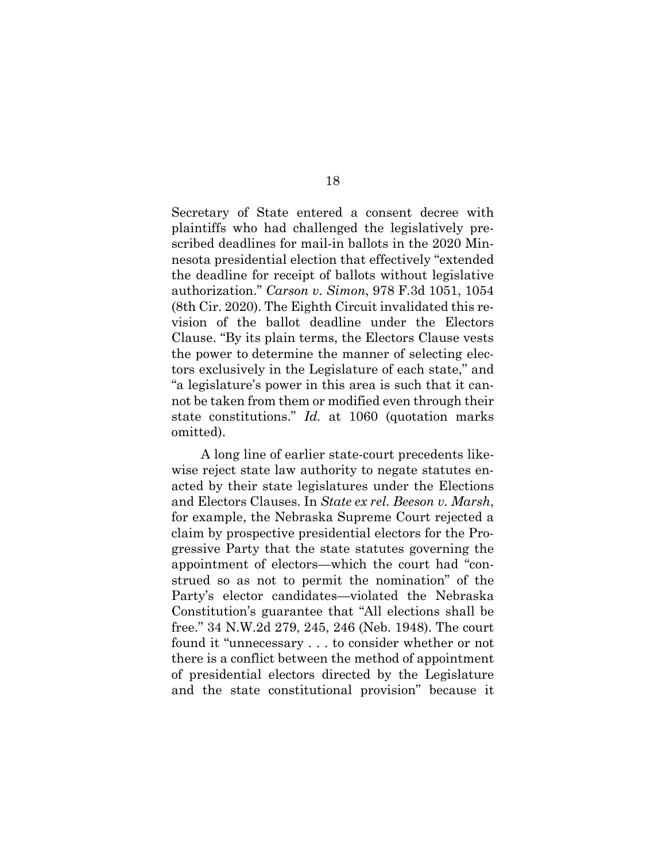Secretary of State entered a consent decree with plaintiffs who had challenged the legislatively prescribed deadlines for mail-in ballots in the 2020 Minnesota presidential election that effectively "extended the deadline for receipt of ballots without legislative authorization." *Carson v. Simon*, 978 F.3d 1051, 1054 (8th Cir. 2020). The Eighth Circuit invalidated this revision of the ballot deadline under the Electors Clause. "By its plain terms, the Electors Clause vests the power to determine the manner of selecting electors exclusively in the Legislature of each state," and "a legislature's power in this area is such that it cannot be taken from them or modified even through their state constitutions." *Id.* at 1060 (quotation marks omitted).

A long line of earlier state-court precedents likewise reject state law authority to negate statutes enacted by their state legislatures under the Elections and Electors Clauses. In *State ex rel. Beeson v. Marsh*, for example, the Nebraska Supreme Court rejected a claim by prospective presidential electors for the Progressive Party that the state statutes governing the appointment of electors—which the court had "construed so as not to permit the nomination" of the Party's elector candidates—violated the Nebraska Constitution's guarantee that "All elections shall be free." 34 N.W.2d 279, 245, 246 (Neb. 1948). The court found it "unnecessary . . . to consider whether or not there is a conflict between the method of appointment of presidential electors directed by the Legislature and the state constitutional provision" because it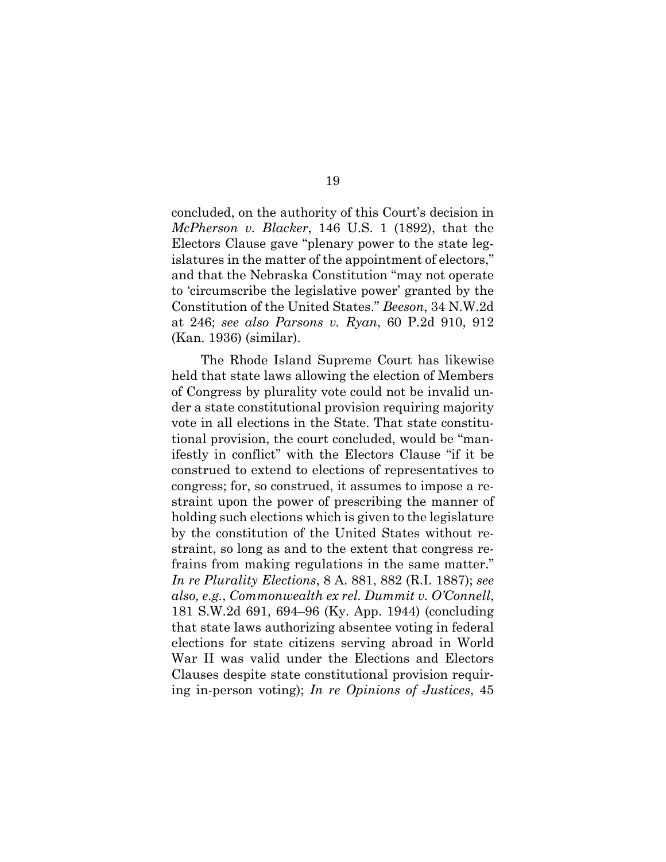concluded, on the authority of this Court's decision in *McPherson v. Blacker*, 146 U.S. 1 (1892), that the Electors Clause gave "plenary power to the state legislatures in the matter of the appointment of electors," and that the Nebraska Constitution "may not operate to 'circumscribe the legislative power' granted by the Constitution of the United States." *Beeson*, 34 N.W.2d at 246; *see also Parsons v. Ryan*, 60 P.2d 910, 912 (Kan. 1936) (similar).

The Rhode Island Supreme Court has likewise held that state laws allowing the election of Members of Congress by plurality vote could not be invalid under a state constitutional provision requiring majority vote in all elections in the State. That state constitutional provision, the court concluded, would be "manifestly in conflict" with the Electors Clause "if it be construed to extend to elections of representatives to congress; for, so construed, it assumes to impose a restraint upon the power of prescribing the manner of holding such elections which is given to the legislature by the constitution of the United States without restraint, so long as and to the extent that congress refrains from making regulations in the same matter." *In re Plurality Elections*, 8 A. 881, 882 (R.I. 1887); *see also, e.g.*, *Commonwealth ex rel. Dummit v. O'Connell*, 181 S.W.2d 691, 694–96 (Ky. App. 1944) (concluding that state laws authorizing absentee voting in federal elections for state citizens serving abroad in World War II was valid under the Elections and Electors Clauses despite state constitutional provision requiring in-person voting); *In re Opinions of Justices*, 45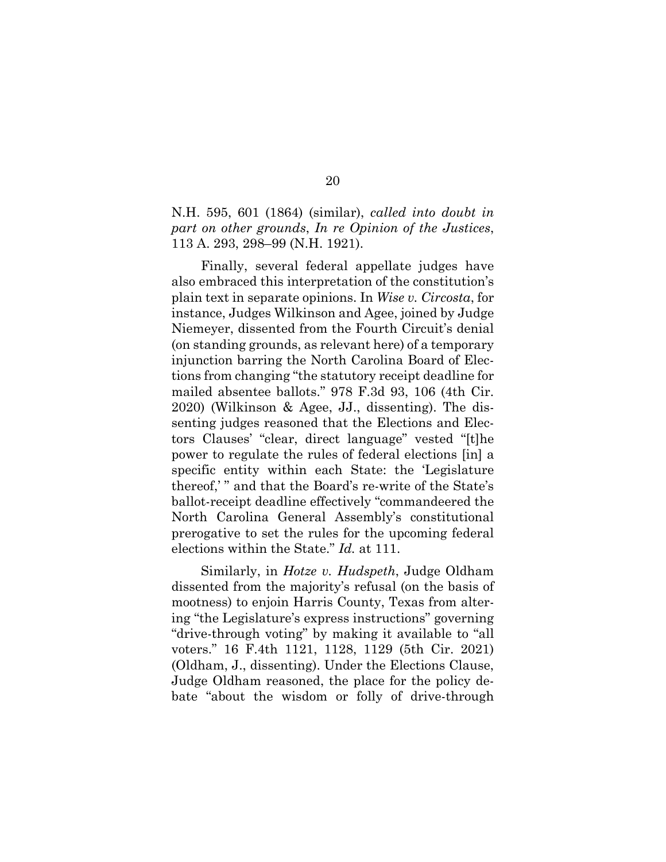N.H. 595, 601 (1864) (similar), *called into doubt in part on other grounds*, *In re Opinion of the Justices*, 113 A. 293, 298–99 (N.H. 1921).

Finally, several federal appellate judges have also embraced this interpretation of the constitution's plain text in separate opinions. In *Wise v. Circosta*, for instance, Judges Wilkinson and Agee, joined by Judge Niemeyer, dissented from the Fourth Circuit's denial (on standing grounds, as relevant here) of a temporary injunction barring the North Carolina Board of Elections from changing "the statutory receipt deadline for mailed absentee ballots." 978 F.3d 93, 106 (4th Cir. 2020) (Wilkinson & Agee, JJ., dissenting). The dissenting judges reasoned that the Elections and Electors Clauses' "clear, direct language" vested "[t]he power to regulate the rules of federal elections [in] a specific entity within each State: the 'Legislature thereof,' " and that the Board's re-write of the State's ballot-receipt deadline effectively "commandeered the North Carolina General Assembly's constitutional prerogative to set the rules for the upcoming federal elections within the State." *Id.* at 111.

Similarly, in *Hotze v. Hudspeth*, Judge Oldham dissented from the majority's refusal (on the basis of mootness) to enjoin Harris County, Texas from altering "the Legislature's express instructions" governing "drive-through voting" by making it available to "all voters." 16 F.4th 1121, 1128, 1129 (5th Cir. 2021) (Oldham, J., dissenting). Under the Elections Clause, Judge Oldham reasoned, the place for the policy debate "about the wisdom or folly of drive-through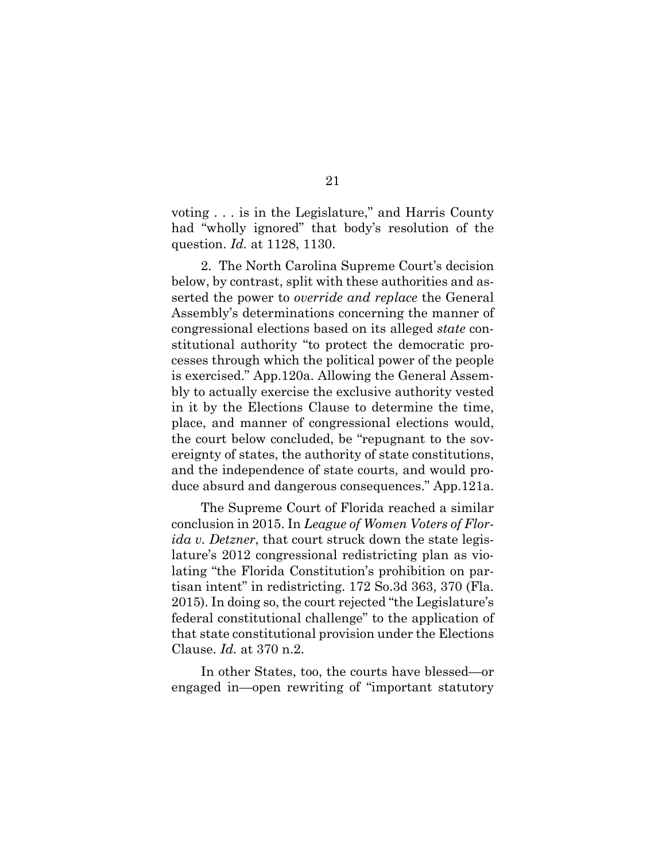voting . . . is in the Legislature," and Harris County had "wholly ignored" that body's resolution of the question. *Id.* at 1128, 1130.

2. The North Carolina Supreme Court's decision below, by contrast, split with these authorities and asserted the power to *override and replace* the General Assembly's determinations concerning the manner of congressional elections based on its alleged *state* constitutional authority "to protect the democratic processes through which the political power of the people is exercised." App.120a. Allowing the General Assembly to actually exercise the exclusive authority vested in it by the Elections Clause to determine the time, place, and manner of congressional elections would, the court below concluded, be "repugnant to the sovereignty of states, the authority of state constitutions, and the independence of state courts, and would produce absurd and dangerous consequences." App.121a.

The Supreme Court of Florida reached a similar conclusion in 2015. In *League of Women Voters of Florida v. Detzner*, that court struck down the state legislature's 2012 congressional redistricting plan as violating "the Florida Constitution's prohibition on partisan intent" in redistricting. 172 So.3d 363, 370 (Fla. 2015). In doing so, the court rejected "the Legislature's federal constitutional challenge" to the application of that state constitutional provision under the Elections Clause. *Id.* at 370 n.2.

In other States, too, the courts have blessed—or engaged in—open rewriting of "important statutory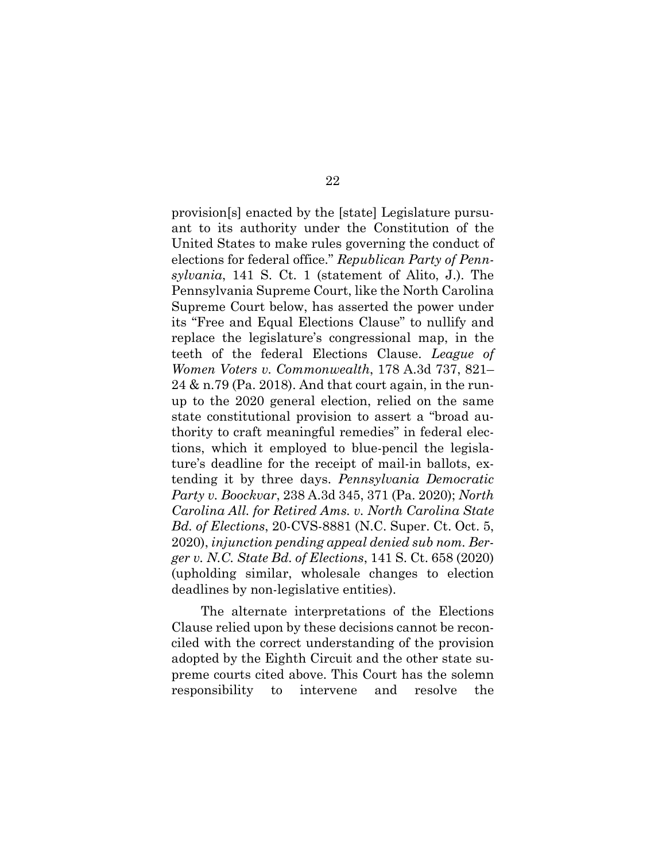provision[s] enacted by the [state] Legislature pursuant to its authority under the Constitution of the United States to make rules governing the conduct of elections for federal office." *Republican Party of Pennsylvania*, 141 S. Ct. 1 (statement of Alito, J.). The Pennsylvania Supreme Court, like the North Carolina Supreme Court below, has asserted the power under its "Free and Equal Elections Clause" to nullify and replace the legislature's congressional map, in the teeth of the federal Elections Clause. *League of Women Voters v. Commonwealth*, 178 A.3d 737, 821– 24 & n.79 (Pa. 2018). And that court again, in the runup to the 2020 general election, relied on the same state constitutional provision to assert a "broad authority to craft meaningful remedies" in federal elections, which it employed to blue-pencil the legislature's deadline for the receipt of mail-in ballots, extending it by three days. *Pennsylvania Democratic Party v. Boockvar*, 238 A.3d 345, 371 (Pa. 2020); *North Carolina All. for Retired Ams. v. North Carolina State Bd. of Elections*, 20-CVS-8881 (N.C. Super. Ct. Oct. 5, 2020), *injunction pending appeal denied sub nom. Berger v. N.C. State Bd. of Elections*, 141 S. Ct. 658 (2020) (upholding similar, wholesale changes to election deadlines by non-legislative entities).

The alternate interpretations of the Elections Clause relied upon by these decisions cannot be reconciled with the correct understanding of the provision adopted by the Eighth Circuit and the other state supreme courts cited above. This Court has the solemn responsibility to intervene and resolve the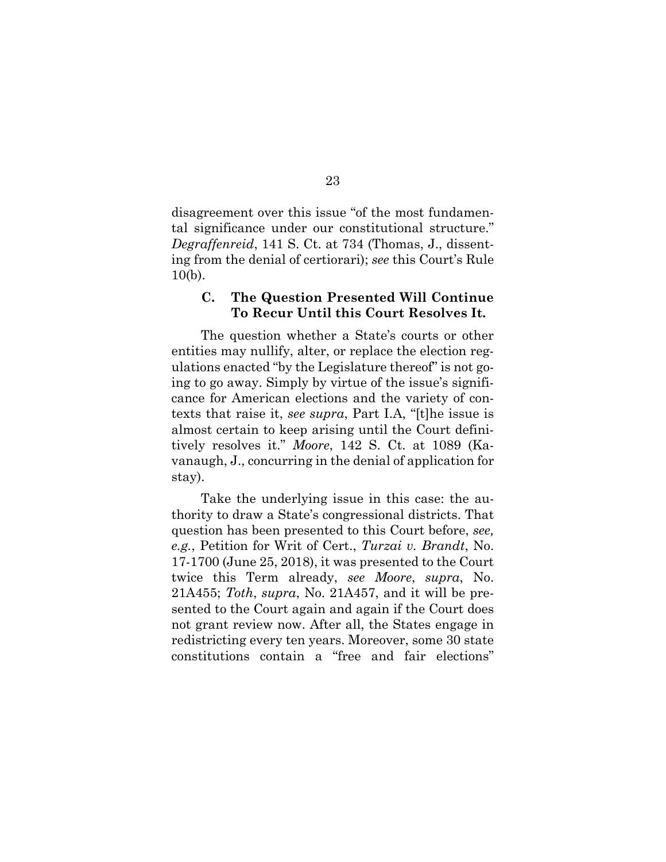disagreement over this issue "of the most fundamental significance under our constitutional structure." *Degraffenreid*, 141 S. Ct. at 734 (Thomas, J., dissenting from the denial of certiorari); *see* this Court's Rule 10(b).

## **C. The Question Presented Will Continue To Recur Until this Court Resolves It.**

The question whether a State's courts or other entities may nullify, alter, or replace the election regulations enacted "by the Legislature thereof" is not going to go away. Simply by virtue of the issue's significance for American elections and the variety of contexts that raise it, *see supra*, Part I.A, "[t]he issue is almost certain to keep arising until the Court definitively resolves it." *Moore*, 142 S. Ct. at 1089 (Kavanaugh, J., concurring in the denial of application for stay).

Take the underlying issue in this case: the authority to draw a State's congressional districts. That question has been presented to this Court before, *see, e.g.*, Petition for Writ of Cert., *Turzai v. Brandt*, No. 17-1700 (June 25, 2018), it was presented to the Court twice this Term already, *see Moore*, *supra*, No. 21A455; *Toth*, *supra*, No. 21A457, and it will be presented to the Court again and again if the Court does not grant review now. After all, the States engage in redistricting every ten years. Moreover, some 30 state constitutions contain a "free and fair elections"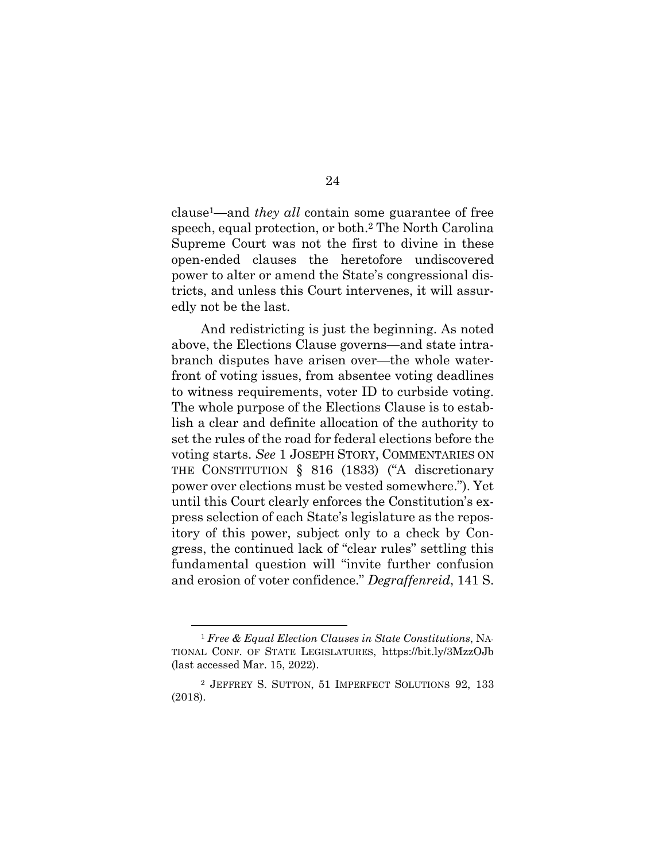clause1—and *they all* contain some guarantee of free speech, equal protection, or both.2 The North Carolina Supreme Court was not the first to divine in these open-ended clauses the heretofore undiscovered power to alter or amend the State's congressional districts, and unless this Court intervenes, it will assuredly not be the last.

And redistricting is just the beginning. As noted above, the Elections Clause governs—and state intrabranch disputes have arisen over—the whole waterfront of voting issues, from absentee voting deadlines to witness requirements, voter ID to curbside voting. The whole purpose of the Elections Clause is to establish a clear and definite allocation of the authority to set the rules of the road for federal elections before the voting starts. *See* 1 JOSEPH STORY, COMMENTARIES ON THE CONSTITUTION § 816 (1833) ("A discretionary power over elections must be vested somewhere."). Yet until this Court clearly enforces the Constitution's express selection of each State's legislature as the repository of this power, subject only to a check by Congress, the continued lack of "clear rules" settling this fundamental question will "invite further confusion and erosion of voter confidence." *Degraffenreid*, 141 S.

<sup>1</sup> *Free & Equal Election Clauses in State Constitutions*, NA-TIONAL CONF. OF STATE LEGISLATURES, https://bit.ly/3MzzOJb (last accessed Mar. 15, 2022).

<sup>2</sup> JEFFREY S. SUTTON, 51 IMPERFECT SOLUTIONS 92, 133 (2018).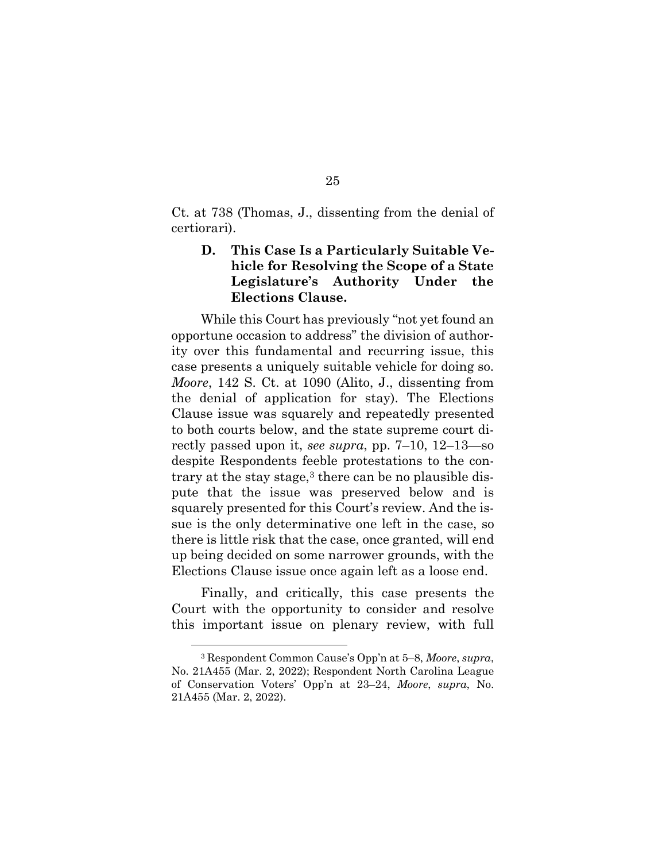Ct. at 738 (Thomas, J., dissenting from the denial of certiorari).

## **D. This Case Is a Particularly Suitable Vehicle for Resolving the Scope of a State Legislature's Authority Under the Elections Clause.**

While this Court has previously "not yet found an opportune occasion to address" the division of authority over this fundamental and recurring issue, this case presents a uniquely suitable vehicle for doing so. *Moore*, 142 S. Ct. at 1090 (Alito, J., dissenting from the denial of application for stay). The Elections Clause issue was squarely and repeatedly presented to both courts below, and the state supreme court directly passed upon it, *see supra*, pp. 7–10, 12–13—so despite Respondents feeble protestations to the contrary at the stay stage, $3$  there can be no plausible dispute that the issue was preserved below and is squarely presented for this Court's review. And the issue is the only determinative one left in the case, so there is little risk that the case, once granted, will end up being decided on some narrower grounds, with the Elections Clause issue once again left as a loose end.

Finally, and critically, this case presents the Court with the opportunity to consider and resolve this important issue on plenary review, with full

<sup>3</sup> Respondent Common Cause's Opp'n at 5–8, *Moore*, *supra*, No. 21A455 (Mar. 2, 2022); Respondent North Carolina League of Conservation Voters' Opp'n at 23–24, *Moore*, *supra*, No. 21A455 (Mar. 2, 2022).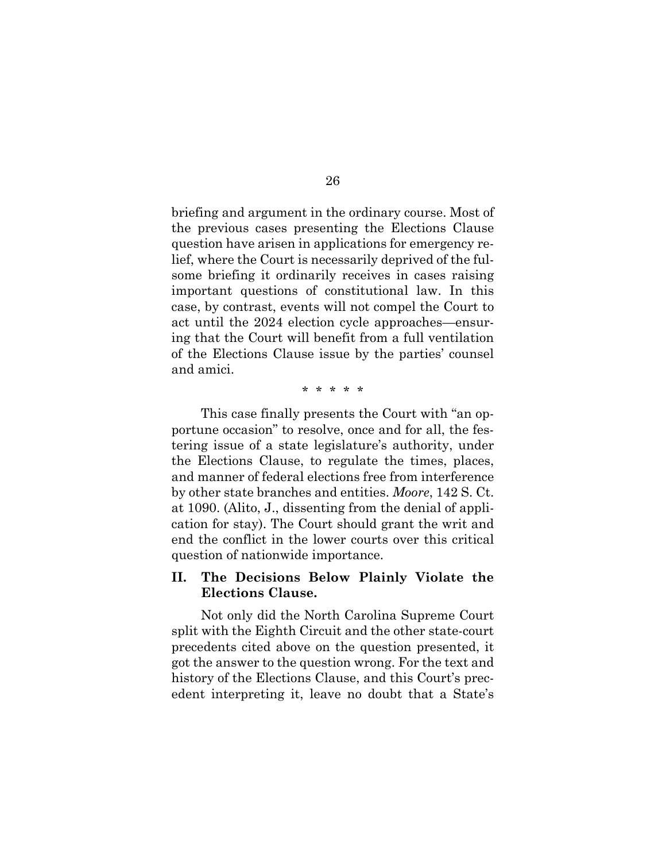briefing and argument in the ordinary course. Most of the previous cases presenting the Elections Clause question have arisen in applications for emergency relief, where the Court is necessarily deprived of the fulsome briefing it ordinarily receives in cases raising important questions of constitutional law. In this case, by contrast, events will not compel the Court to act until the 2024 election cycle approaches—ensuring that the Court will benefit from a full ventilation of the Elections Clause issue by the parties' counsel and amici.

\* \* \* \* \*

This case finally presents the Court with "an opportune occasion" to resolve, once and for all, the festering issue of a state legislature's authority, under the Elections Clause, to regulate the times, places, and manner of federal elections free from interference by other state branches and entities. *Moore*, 142 S. Ct. at 1090. (Alito, J., dissenting from the denial of application for stay). The Court should grant the writ and end the conflict in the lower courts over this critical question of nationwide importance.

## **II. The Decisions Below Plainly Violate the Elections Clause.**

Not only did the North Carolina Supreme Court split with the Eighth Circuit and the other state-court precedents cited above on the question presented, it got the answer to the question wrong. For the text and history of the Elections Clause, and this Court's precedent interpreting it, leave no doubt that a State's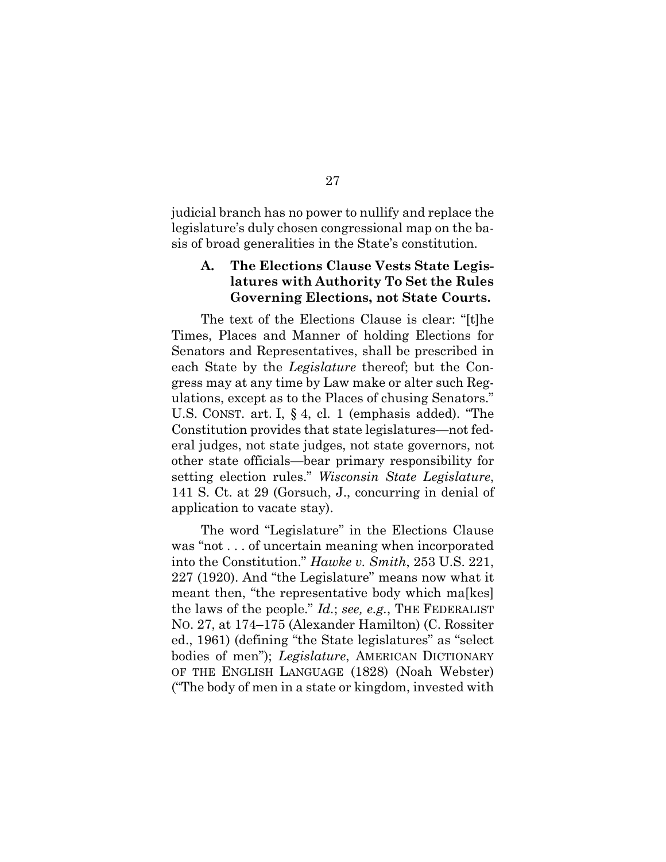judicial branch has no power to nullify and replace the legislature's duly chosen congressional map on the basis of broad generalities in the State's constitution.

## **A. The Elections Clause Vests State Legislatures with Authority To Set the Rules Governing Elections, not State Courts.**

The text of the Elections Clause is clear: "[t]he Times, Places and Manner of holding Elections for Senators and Representatives, shall be prescribed in each State by the *Legislature* thereof; but the Congress may at any time by Law make or alter such Regulations, except as to the Places of chusing Senators." U.S. CONST. art. I, § 4, cl. 1 (emphasis added). "The Constitution provides that state legislatures—not federal judges, not state judges, not state governors, not other state officials—bear primary responsibility for setting election rules." *Wisconsin State Legislature*, 141 S. Ct. at 29 (Gorsuch, J., concurring in denial of application to vacate stay).

The word "Legislature" in the Elections Clause was "not . . . of uncertain meaning when incorporated into the Constitution." *Hawke v. Smith*, 253 U.S. 221, 227 (1920). And "the Legislature" means now what it meant then, "the representative body which ma<sub>[kes]</sub> the laws of the people." *Id.*; *see, e.g.*, THE FEDERALIST NO. 27, at 174–175 (Alexander Hamilton) (C. Rossiter ed., 1961) (defining "the State legislatures" as "select bodies of men"); *Legislature*, AMERICAN DICTIONARY OF THE ENGLISH LANGUAGE (1828) (Noah Webster) ("The body of men in a state or kingdom, invested with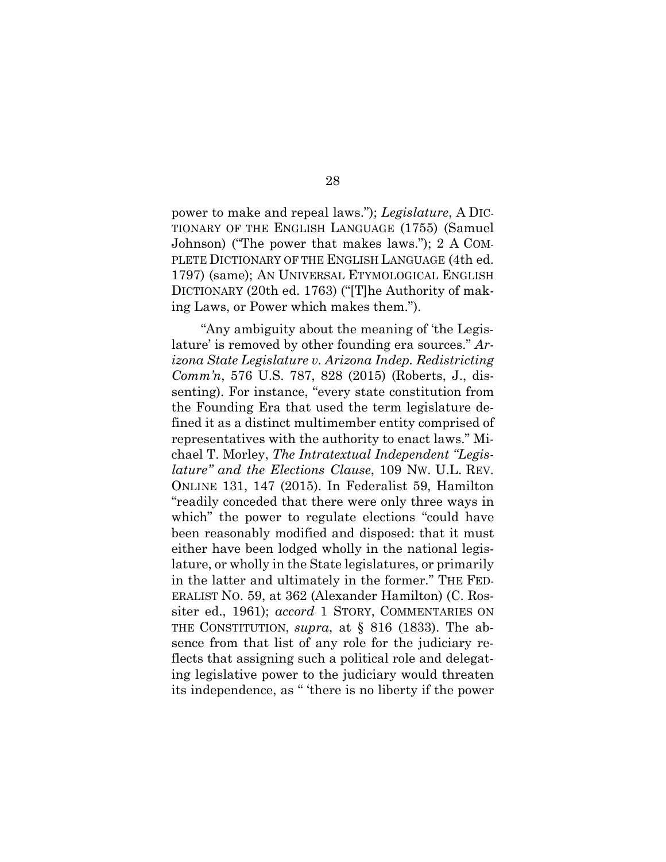power to make and repeal laws."); *Legislature*, A DIC-TIONARY OF THE ENGLISH LANGUAGE (1755) (Samuel Johnson) ("The power that makes laws."); 2 A COM-PLETE DICTIONARY OF THE ENGLISH LANGUAGE (4th ed. 1797) (same); AN UNIVERSAL ETYMOLOGICAL ENGLISH DICTIONARY (20th ed. 1763) ("[T]he Authority of making Laws, or Power which makes them.").

"Any ambiguity about the meaning of 'the Legislature' is removed by other founding era sources." *Arizona State Legislature v. Arizona Indep. Redistricting Comm'n*, 576 U.S. 787, 828 (2015) (Roberts, J., dissenting). For instance, "every state constitution from the Founding Era that used the term legislature defined it as a distinct multimember entity comprised of representatives with the authority to enact laws." Michael T. Morley, *The Intratextual Independent "Legislature" and the Elections Clause*, 109 NW. U.L. REV. ONLINE 131, 147 (2015). In Federalist 59, Hamilton "readily conceded that there were only three ways in which" the power to regulate elections "could have been reasonably modified and disposed: that it must either have been lodged wholly in the national legislature, or wholly in the State legislatures, or primarily in the latter and ultimately in the former." THE FED-ERALIST NO. 59, at 362 (Alexander Hamilton) (C. Rossiter ed., 1961); *accord* 1 STORY, COMMENTARIES ON THE CONSTITUTION, *supra*, at § 816 (1833). The absence from that list of any role for the judiciary reflects that assigning such a political role and delegating legislative power to the judiciary would threaten its independence, as " 'there is no liberty if the power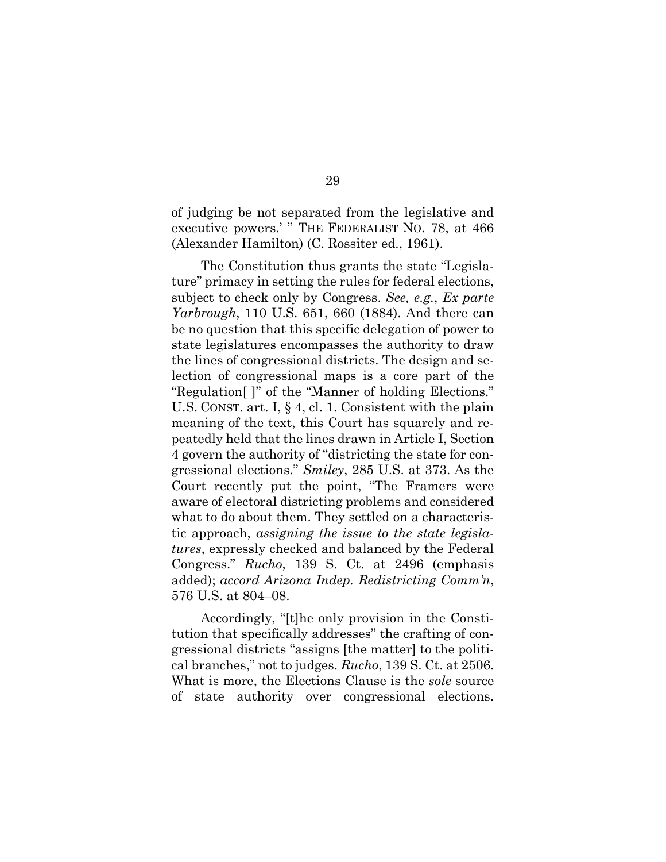of judging be not separated from the legislative and executive powers.' " THE FEDERALIST NO. 78, at 466 (Alexander Hamilton) (C. Rossiter ed., 1961).

The Constitution thus grants the state "Legislature" primacy in setting the rules for federal elections, subject to check only by Congress. *See, e.g.*, *Ex parte Yarbrough*, 110 U.S. 651, 660 (1884). And there can be no question that this specific delegation of power to state legislatures encompasses the authority to draw the lines of congressional districts. The design and selection of congressional maps is a core part of the "Regulation[ ]" of the "Manner of holding Elections." U.S. CONST. art. I, § 4, cl. 1. Consistent with the plain meaning of the text, this Court has squarely and repeatedly held that the lines drawn in Article I, Section 4 govern the authority of "districting the state for congressional elections." *Smiley*, 285 U.S. at 373. As the Court recently put the point, "The Framers were aware of electoral districting problems and considered what to do about them. They settled on a characteristic approach, *assigning the issue to the state legislatures*, expressly checked and balanced by the Federal Congress." *Rucho*, 139 S. Ct. at 2496 (emphasis added); *accord Arizona Indep. Redistricting Comm'n*, 576 U.S. at 804–08.

Accordingly, "[t]he only provision in the Constitution that specifically addresses" the crafting of congressional districts "assigns [the matter] to the political branches," not to judges. *Rucho*, 139 S. Ct. at 2506. What is more, the Elections Clause is the *sole* source of state authority over congressional elections.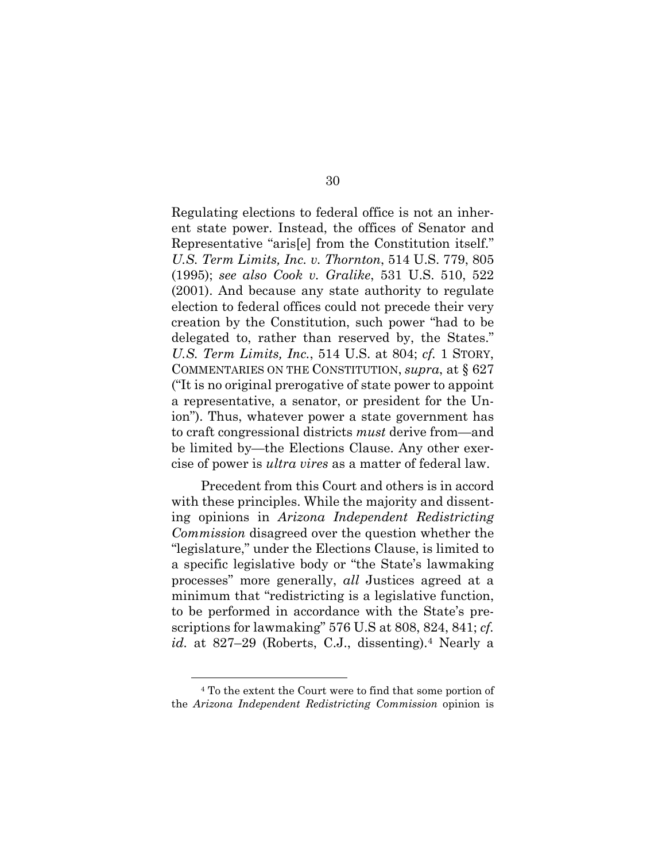Regulating elections to federal office is not an inherent state power. Instead, the offices of Senator and Representative "aris[e] from the Constitution itself." *U.S. Term Limits, Inc. v. Thornton*, 514 U.S. 779, 805 (1995); *see also Cook v. Gralike*, 531 U.S. 510, 522 (2001). And because any state authority to regulate election to federal offices could not precede their very creation by the Constitution, such power "had to be delegated to, rather than reserved by, the States." *U.S. Term Limits, Inc.*, 514 U.S. at 804; *cf.* 1 STORY, COMMENTARIES ON THE CONSTITUTION, *supra*, at § 627 ("It is no original prerogative of state power to appoint a representative, a senator, or president for the Union"). Thus, whatever power a state government has to craft congressional districts *must* derive from—and be limited by—the Elections Clause. Any other exercise of power is *ultra vires* as a matter of federal law.

Precedent from this Court and others is in accord with these principles. While the majority and dissenting opinions in *Arizona Independent Redistricting Commission* disagreed over the question whether the "legislature," under the Elections Clause, is limited to a specific legislative body or "the State's lawmaking processes" more generally, *all* Justices agreed at a minimum that "redistricting is a legislative function, to be performed in accordance with the State's prescriptions for lawmaking" 576 U.S at 808, 824, 841; *cf. id.* at 827–29 (Roberts, C.J., dissenting).4 Nearly a

<sup>4</sup> To the extent the Court were to find that some portion of the *Arizona Independent Redistricting Commission* opinion is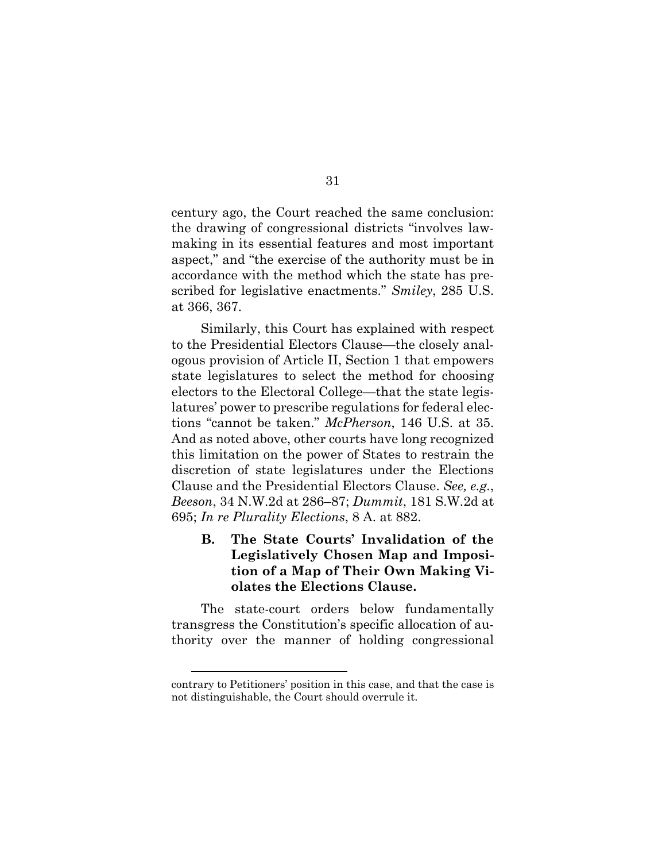century ago, the Court reached the same conclusion: the drawing of congressional districts "involves lawmaking in its essential features and most important aspect," and "the exercise of the authority must be in accordance with the method which the state has prescribed for legislative enactments." *Smiley*, 285 U.S. at 366, 367.

Similarly, this Court has explained with respect to the Presidential Electors Clause—the closely analogous provision of Article II, Section 1 that empowers state legislatures to select the method for choosing electors to the Electoral College—that the state legislatures' power to prescribe regulations for federal elections "cannot be taken." *McPherson*, 146 U.S. at 35. And as noted above, other courts have long recognized this limitation on the power of States to restrain the discretion of state legislatures under the Elections Clause and the Presidential Electors Clause. *See, e.g.*, *Beeson*, 34 N.W.2d at 286–87; *Dummit*, 181 S.W.2d at 695; *In re Plurality Elections*, 8 A. at 882.

**B. The State Courts' Invalidation of the Legislatively Chosen Map and Imposition of a Map of Their Own Making Violates the Elections Clause.** 

The state-court orders below fundamentally transgress the Constitution's specific allocation of authority over the manner of holding congressional

31

contrary to Petitioners' position in this case, and that the case is not distinguishable, the Court should overrule it.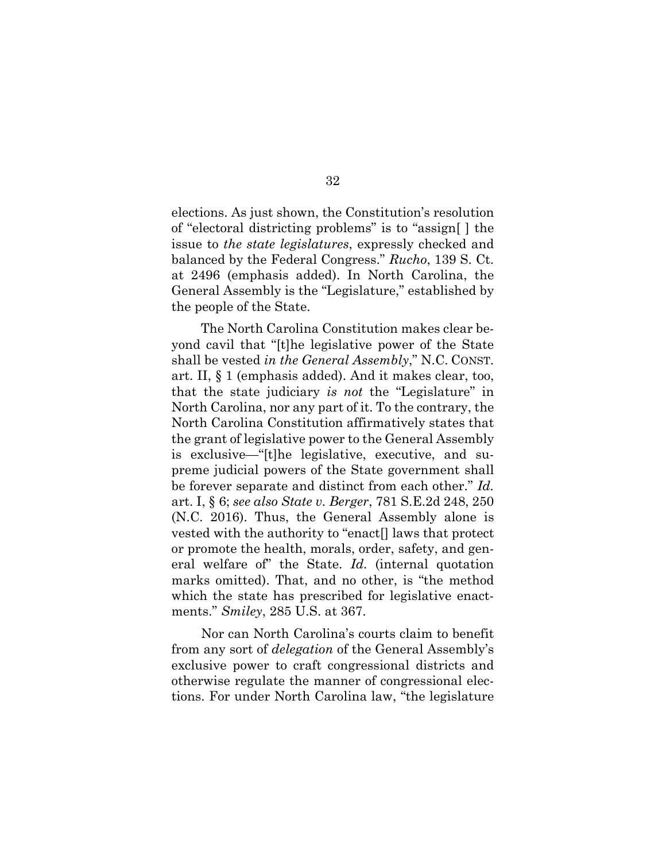elections. As just shown, the Constitution's resolution of "electoral districting problems" is to "assign[ ] the issue to *the state legislatures*, expressly checked and balanced by the Federal Congress." *Rucho*, 139 S. Ct. at 2496 (emphasis added). In North Carolina, the General Assembly is the "Legislature," established by the people of the State.

The North Carolina Constitution makes clear beyond cavil that "[t]he legislative power of the State shall be vested *in the General Assembly*," N.C. CONST. art. II, § 1 (emphasis added). And it makes clear, too, that the state judiciary *is not* the "Legislature" in North Carolina, nor any part of it. To the contrary, the North Carolina Constitution affirmatively states that the grant of legislative power to the General Assembly is exclusive—"[t]he legislative, executive, and supreme judicial powers of the State government shall be forever separate and distinct from each other." *Id.* art. I, § 6; *see also State v. Berger*, 781 S.E.2d 248, 250 (N.C. 2016). Thus, the General Assembly alone is vested with the authority to "enact[] laws that protect or promote the health, morals, order, safety, and general welfare of" the State. *Id.* (internal quotation marks omitted). That, and no other, is "the method which the state has prescribed for legislative enactments." *Smiley*, 285 U.S. at 367.

Nor can North Carolina's courts claim to benefit from any sort of *delegation* of the General Assembly's exclusive power to craft congressional districts and otherwise regulate the manner of congressional elections. For under North Carolina law, "the legislature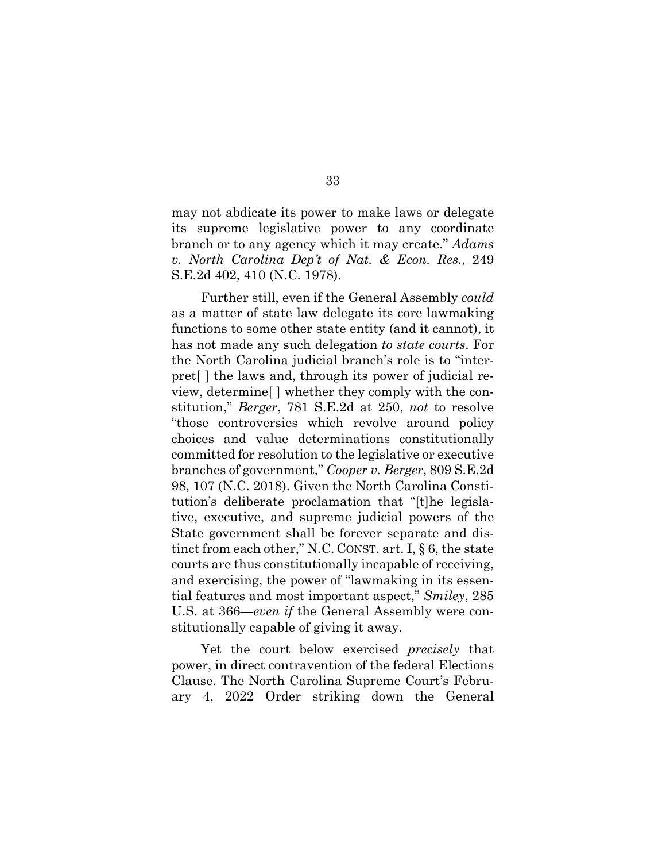may not abdicate its power to make laws or delegate its supreme legislative power to any coordinate branch or to any agency which it may create." *Adams v. North Carolina Dep't of Nat. & Econ. Res.*, 249 S.E.2d 402, 410 (N.C. 1978).

Further still, even if the General Assembly *could*  as a matter of state law delegate its core lawmaking functions to some other state entity (and it cannot), it has not made any such delegation *to state courts*. For the North Carolina judicial branch's role is to "interpret[ ] the laws and, through its power of judicial review, determine[ ] whether they comply with the constitution," *Berger*, 781 S.E.2d at 250, *not* to resolve "those controversies which revolve around policy choices and value determinations constitutionally committed for resolution to the legislative or executive branches of government," *Cooper v. Berger*, 809 S.E.2d 98, 107 (N.C. 2018). Given the North Carolina Constitution's deliberate proclamation that "[t]he legislative, executive, and supreme judicial powers of the State government shall be forever separate and distinct from each other," N.C. CONST. art. I, § 6, the state courts are thus constitutionally incapable of receiving, and exercising, the power of "lawmaking in its essential features and most important aspect," *Smiley*, 285 U.S. at 366—*even if* the General Assembly were constitutionally capable of giving it away.

Yet the court below exercised *precisely* that power, in direct contravention of the federal Elections Clause. The North Carolina Supreme Court's February 4, 2022 Order striking down the General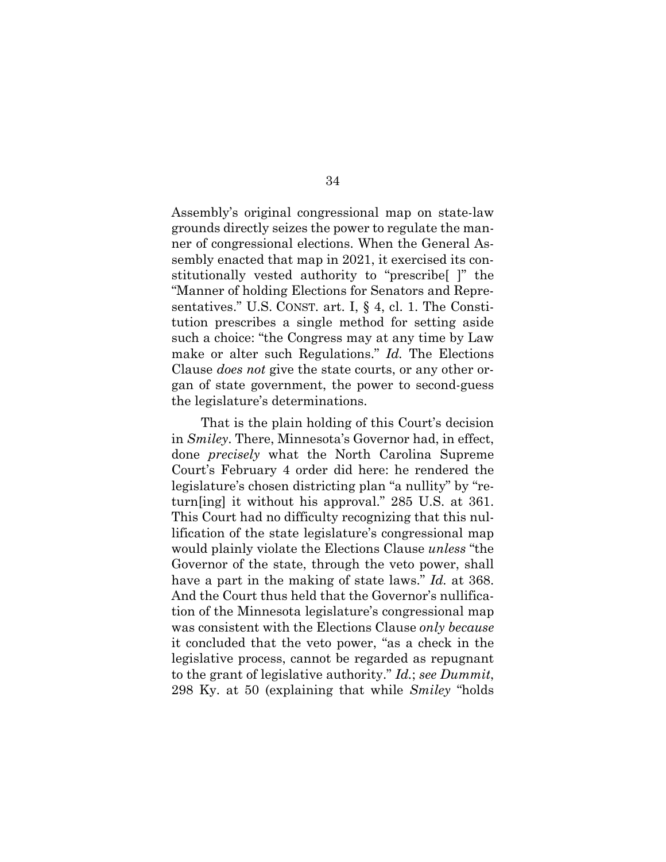Assembly's original congressional map on state-law grounds directly seizes the power to regulate the manner of congressional elections. When the General Assembly enacted that map in 2021, it exercised its constitutionally vested authority to "prescribe[ ]" the "Manner of holding Elections for Senators and Representatives." U.S. CONST. art. I, § 4, cl. 1. The Constitution prescribes a single method for setting aside such a choice: "the Congress may at any time by Law make or alter such Regulations." *Id.* The Elections Clause *does not* give the state courts, or any other organ of state government, the power to second-guess the legislature's determinations.

That is the plain holding of this Court's decision in *Smiley*. There, Minnesota's Governor had, in effect, done *precisely* what the North Carolina Supreme Court's February 4 order did here: he rendered the legislature's chosen districting plan "a nullity" by "return[ing] it without his approval." 285 U.S. at 361. This Court had no difficulty recognizing that this nullification of the state legislature's congressional map would plainly violate the Elections Clause *unless* "the Governor of the state, through the veto power, shall have a part in the making of state laws." *Id.* at 368. And the Court thus held that the Governor's nullification of the Minnesota legislature's congressional map was consistent with the Elections Clause *only because* it concluded that the veto power, "as a check in the legislative process, cannot be regarded as repugnant to the grant of legislative authority." *Id.*; *see Dummit*, 298 Ky. at 50 (explaining that while *Smiley* "holds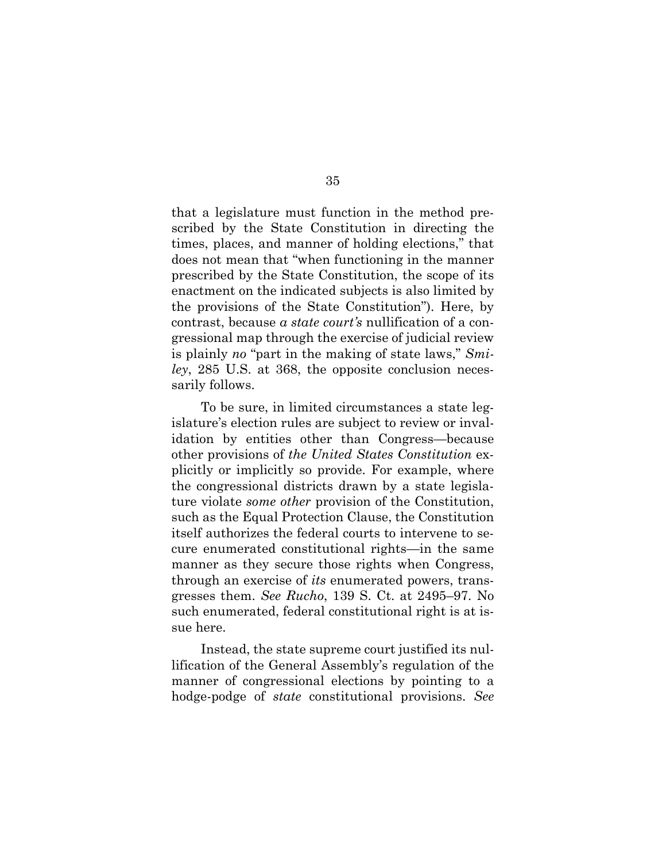that a legislature must function in the method prescribed by the State Constitution in directing the times, places, and manner of holding elections," that does not mean that "when functioning in the manner prescribed by the State Constitution, the scope of its enactment on the indicated subjects is also limited by the provisions of the State Constitution"). Here, by contrast, because *a state court's* nullification of a congressional map through the exercise of judicial review is plainly *no* "part in the making of state laws," *Smiley*, 285 U.S. at 368, the opposite conclusion necessarily follows.

To be sure, in limited circumstances a state legislature's election rules are subject to review or invalidation by entities other than Congress—because other provisions of *the United States Constitution* explicitly or implicitly so provide. For example, where the congressional districts drawn by a state legislature violate *some other* provision of the Constitution, such as the Equal Protection Clause, the Constitution itself authorizes the federal courts to intervene to secure enumerated constitutional rights—in the same manner as they secure those rights when Congress, through an exercise of *its* enumerated powers, transgresses them. *See Rucho*, 139 S. Ct. at 2495–97. No such enumerated, federal constitutional right is at issue here.

Instead, the state supreme court justified its nullification of the General Assembly's regulation of the manner of congressional elections by pointing to a hodge-podge of *state* constitutional provisions. *See*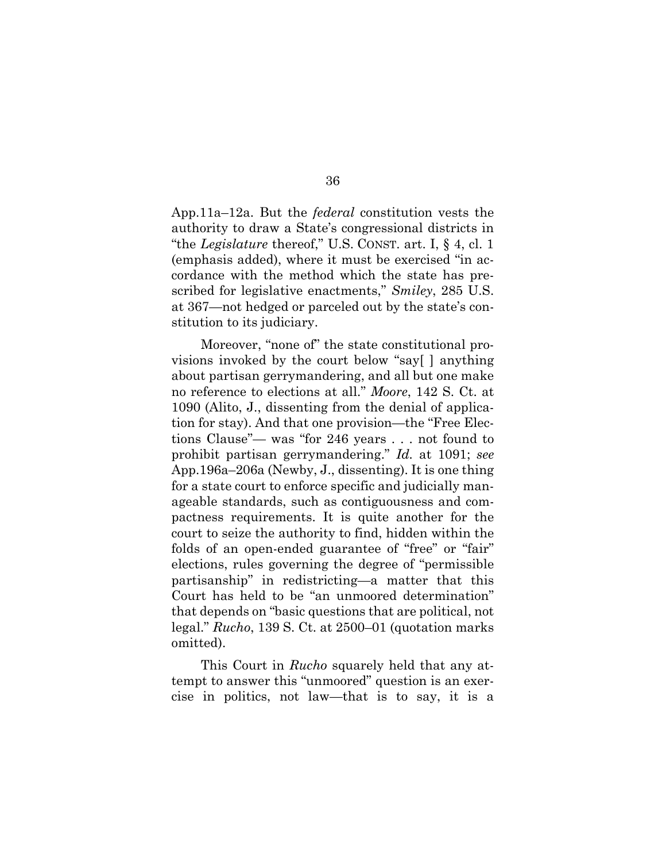App.11a–12a. But the *federal* constitution vests the authority to draw a State's congressional districts in "the *Legislature* thereof," U.S. CONST. art. I, § 4, cl. 1 (emphasis added), where it must be exercised "in accordance with the method which the state has prescribed for legislative enactments," *Smiley*, 285 U.S. at 367—not hedged or parceled out by the state's constitution to its judiciary.

Moreover, "none of" the state constitutional provisions invoked by the court below "say[ ] anything about partisan gerrymandering, and all but one make no reference to elections at all." *Moore*, 142 S. Ct. at 1090 (Alito, J., dissenting from the denial of application for stay). And that one provision—the "Free Elections Clause"— was "for 246 years . . . not found to prohibit partisan gerrymandering." *Id.* at 1091; *see*  App.196a–206a (Newby, J., dissenting). It is one thing for a state court to enforce specific and judicially manageable standards, such as contiguousness and compactness requirements. It is quite another for the court to seize the authority to find, hidden within the folds of an open-ended guarantee of "free" or "fair" elections, rules governing the degree of "permissible partisanship" in redistricting—a matter that this Court has held to be "an unmoored determination" that depends on "basic questions that are political, not legal." *Rucho*, 139 S. Ct. at 2500–01 (quotation marks omitted).

This Court in *Rucho* squarely held that any attempt to answer this "unmoored" question is an exercise in politics, not law—that is to say, it is a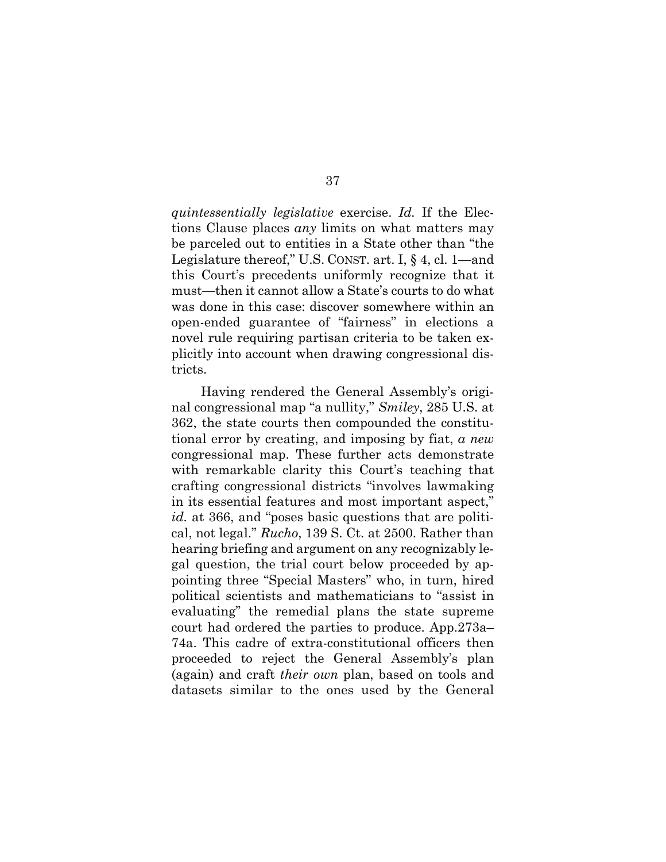*quintessentially legislative* exercise. *Id.* If the Elections Clause places *any* limits on what matters may be parceled out to entities in a State other than "the Legislature thereof," U.S. CONST. art. I, § 4, cl. 1—and this Court's precedents uniformly recognize that it must—then it cannot allow a State's courts to do what was done in this case: discover somewhere within an open-ended guarantee of "fairness" in elections a novel rule requiring partisan criteria to be taken explicitly into account when drawing congressional districts.

Having rendered the General Assembly's original congressional map "a nullity," *Smiley*, 285 U.S. at 362, the state courts then compounded the constitutional error by creating, and imposing by fiat, *a new*  congressional map. These further acts demonstrate with remarkable clarity this Court's teaching that crafting congressional districts "involves lawmaking in its essential features and most important aspect," *id.* at 366, and "poses basic questions that are political, not legal." *Rucho*, 139 S. Ct. at 2500. Rather than hearing briefing and argument on any recognizably legal question, the trial court below proceeded by appointing three "Special Masters" who, in turn, hired political scientists and mathematicians to "assist in evaluating" the remedial plans the state supreme court had ordered the parties to produce. App.273a– 74a. This cadre of extra-constitutional officers then proceeded to reject the General Assembly's plan (again) and craft *their own* plan, based on tools and datasets similar to the ones used by the General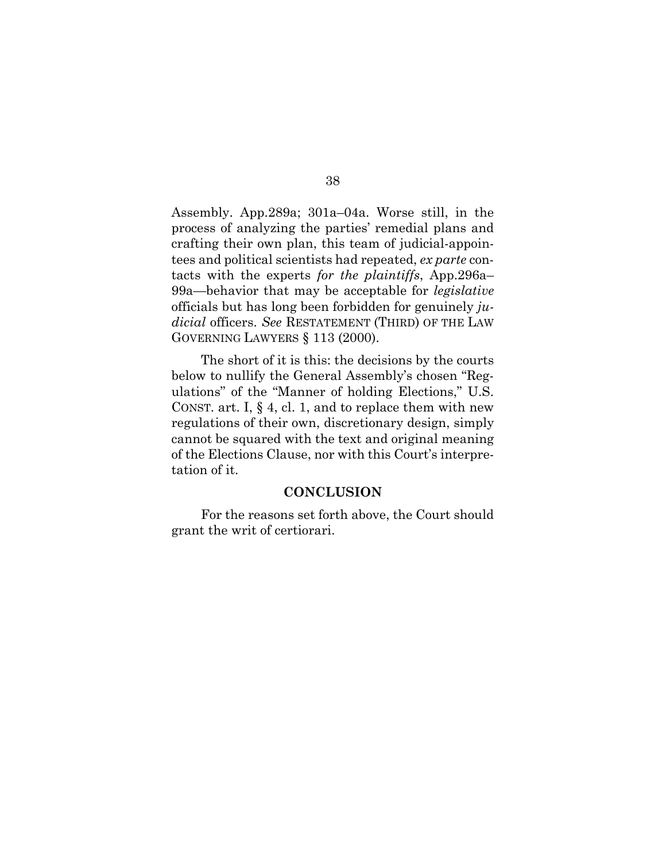Assembly. App.289a; 301a–04a. Worse still, in the process of analyzing the parties' remedial plans and crafting their own plan, this team of judicial-appointees and political scientists had repeated, *ex parte* contacts with the experts *for the plaintiffs*, App.296a– 99a—behavior that may be acceptable for *legislative*  officials but has long been forbidden for genuinely *judicial* officers. *See* RESTATEMENT (THIRD) OF THE LAW GOVERNING LAWYERS § 113 (2000).

The short of it is this: the decisions by the courts below to nullify the General Assembly's chosen "Regulations" of the "Manner of holding Elections," U.S. CONST. art. I, § 4, cl. 1, and to replace them with new regulations of their own, discretionary design, simply cannot be squared with the text and original meaning of the Elections Clause, nor with this Court's interpretation of it.

## **CONCLUSION**

For the reasons set forth above, the Court should grant the writ of certiorari.